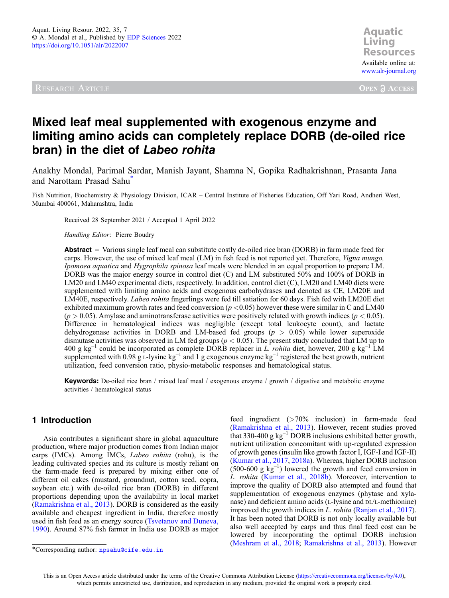<span id="page-0-0"></span>

**Aquatic Resources Resources** Available online at: [www.alr-journal.org](https://www.alr-journal.org)

**OPEN A ACCESS** 

# Mixed leaf meal supplemented with exogenous enzyme and limiting amino acids can completely replace DORB (de-oiled rice bran) in the diet of Labeo rohita

Anakhy Mondal, Parimal Sardar, Manish Jayant, Shamna N, Gopika Radhakrishnan, Prasanta Jana and Narottam Prasad Sahu\*

Fish Nutrition, Biochemistry & Physiology Division, ICAR – Central Institute of Fisheries Education, Off Yari Road, Andheri West, Mumbai 400061, Maharashtra, India

Received 28 September 2021 / Accepted 1 April 2022

Handling Editor: Pierre Boudry

Abstract – Various single leaf meal can substitute costly de-oiled rice bran (DORB) in farm made feed for carps. However, the use of mixed leaf meal (LM) in fish feed is not reported yet. Therefore, *Vigna mungo*, Ipomoea aquatica and Hygrophila spinosa leaf meals were blended in an equal proportion to prepare LM. DORB was the major energy source in control diet (C) and LM substituted 50% and 100% of DORB in LM20 and LM40 experimental diets, respectively. In addition, control diet (C), LM20 and LM40 diets were supplemented with limiting amino acids and exogenous carbohydrases and denoted as CE, LM20E and LM40E, respectively. Labeo rohita fingerlings were fed till satiation for 60 days. Fish fed with LM20E diet exhibited maximum growth rates and feed conversion ( $p < 0.05$ ) however these were similar in C and LM40  $(p > 0.05)$ . Amylase and aminotransferase activities were positively related with growth indices  $(p < 0.05)$ . Difference in hematological indices was negligible (except total leukocyte count), and lactate dehydrogenase activities in DORB and LM-based fed groups ( $p > 0.05$ ) while lower superoxide dismutase activities was observed in LM fed groups ( $p < 0.05$ ). The present study concluded that LM up to 400 g kg<sup>-1</sup> could be incorporated as complete DORB replacer in L. rohita diet, however, 200 g kg<sup>-1</sup> LM supplemented with 0.98 g L-lysine kg<sup>-1</sup> and 1 g exogenous enzyme kg<sup>-1</sup> registered the best growth, nutrient utilization, feed conversion ratio, physio-metabolic responses and hematological status.

Keywords: De-oiled rice bran / mixed leaf meal / exogenous enzyme / growth / digestive and metabolic enzyme activities / hematological status

## 1 Introduction

Asia contributes a significant share in global aquaculture production, where major production comes from Indian major carps (IMCs). Among IMCs, Labeo rohita (rohu), is the leading cultivated species and its culture is mostly reliant on the farm-made feed is prepared by mixing either one of different oil cakes (mustard, groundnut, cotton seed, copra, soybean etc.) with de-oiled rice bran (DORB) in different proportions depending upon the availability in local market ([Ramakrishna et al., 2013](#page-13-0)). DORB is considered as the easily available and cheapest ingredient in India, therefore mostly used in fish feed as an energy source ([Tsvetanov and Duneva,](#page-13-0) [1990](#page-13-0)). Around 87% fish farmer in India use DORB as major

feed ingredient (>70% inclusion) in farm-made feed ([Ramakrishna et al., 2013\)](#page-13-0). However, recent studies proved that 330-400 g  $kg^{-1}$  DORB inclusions exhibited better growth, nutrient utilization concomitant with up-regulated expression of growth genes (insulin like growth factor I, IGF-I and IGF-II) ([Kumar et al., 2017](#page-12-0), [2018a](#page-12-0)). Whereas, higher DORB inclusion  $(500-600 \text{ g kg}^{-1})$  lowered the growth and feed conversion in L. rohita [\(Kumar et al., 2018b\)](#page-12-0). Moreover, intervention to improve the quality of DORB also attempted and found that supplementation of exogenous enzymes (phytase and xylanase) and deficient amino acids (L-lysine and DL/L-methionine) improved the growth indices in *L. rohita* [\(Ranjan et al., 2017\)](#page-13-0). It has been noted that DORB is not only locally available but also well accepted by carps and thus final feed cost can be lowered by incorporating the optimal DORB inclusion ([Meshram et al., 2018;](#page-13-0) [Ramakrishna et al., 2013\)](#page-13-0). However \*Corresponding author: [npsahu@cife.edu.in](mailto:npsahu@cife.edu.in)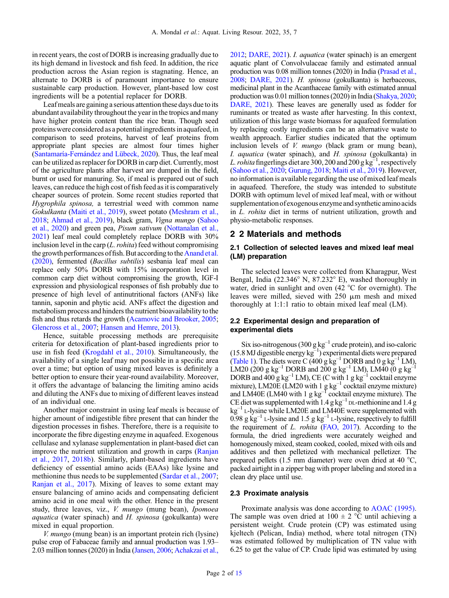in recent years, the cost of DORB is increasing gradually due to its high demand in livestock and fish feed. In addition, the rice production across the Asian region is stagnating. Hence, an alternate to DORB is of paramount importance to ensure sustainable carp production. However, plant-based low cost ingredients will be a potential replacer for DORB.

Leaf meals are gaining a serious attention these days due to its abundant availability throughout the year in the tropics and many have higher protein content than the rice bran. Though seed proteins were considered as a potential ingredients in aquafeed, in comparison to seed proteins, harvest of leaf proteins from appropriate plant species are almost four times higher ([Santamaría-Fernández and Lübeck, 2020](#page-13-0)). Thus, the leaf meal can be utilized as replacer for DORB in carp diet. Currently, most of the agriculture plants after harvest are dumped in the field, burnt or used for manuring. So, if meal is prepared out of such leaves, can reduce the high cost of fish feed as it is comparatively cheaper sources of protein. Some recent studies reported that Hygrophila spinosa, a terrestrial weed with common name Gokulkanta [\(Maiti et al., 2019](#page-12-0)), sweet potato ([Meshram et al.,](#page-13-0) [2018](#page-13-0); [Ahmad et al., 2019](#page-11-0)), black gram, Vigna mungo [\(Sahoo](#page-13-0) [et al., 2020\)](#page-13-0) and green pea, Pisum sativum [\(Nottanalan et al.,](#page-13-0) [2021](#page-13-0)) leaf meal could completely replace DORB with 30% inclusion level in the carp  $(L. \text{ *rohita*)$  feed without compromising the growth performances of fish. But according to the [Anand et al.](#page-11-0) [\(2020\)](#page-11-0), fermented (Bacillus subtilis) sesbania leaf meal can replace only 50% DORB with 15% incorporation level in common carp diet without compromising the growth, IGF-I expression and physiological responses of fish probably due to presence of high level of antinutritional factors (ANFs) like tannin, saponin and phytic acid. ANFs affect the digestion and metabolism process and hinders the nutrient bioavailability tothe fish and thus retards the growth ([Acamovic and Brooker, 2005](#page-11-0); [Glencross et al., 2007](#page-12-0); [Hansen and Hemre, 2013\)](#page-12-0).

Hence, suitable processing methods are prerequisite criteria for detoxification of plant-based ingredients prior to use in fish feed ([Krogdahl et al., 2010\)](#page-12-0). Simultaneously, the availability of a single leaf may not possible in a specific area over a time; but option of using mixed leaves is definitely a better option to ensure their year-round availability. Moreover, it offers the advantage of balancing the limiting amino acids and diluting the ANFs due to mixing of different leaves instead of an individual one.

Another major constraint in using leaf meals is because of higher amount of indigestible fibre present that can hinder the digestion processes in fishes. Therefore, there is a requisite to incorporate the fibre digesting enzyme in aquafeed. Exogenous cellulase and xylanase supplementation in plant-based diet can improve the nutrient utilization and growth in carps ([Ranjan](#page-13-0) [et al., 2017](#page-13-0), [2018b\)](#page-13-0). Similarly, plant-based ingredients have deficiency of essential amino acids (EAAs) like lysine and methionine thus needs to be supplemented [\(Sardar et al., 2007](#page-13-0); [Ranjan et al., 2017](#page-13-0)). Mixing of leaves to some extant may ensure balancing of amino acids and compensating deficient amino acid in one meal with the other. Hence in the present study, three leaves, viz., *V. mungo* (mung bean), *Ipomoea aquatica* (water spinach) and  $H$ . *spinosa* (gokulkanta) were mixed in equal proportion.

V. mungo (mung bean) is an important protein rich (lysine) pulse crop of Fabaceae family and annual production was 1.93– 2.03 million tonnes (2020) in India [\(Jansen, 2006](#page-12-0); [Achakzai et al.,](#page-11-0) [2012;](#page-11-0) [DARE, 2021\)](#page-11-0). I. aquatica (water spinach) is an emergent aquatic plant of Convolvulaceae family and estimated annual production was 0.08 million tonnes (2020) in India [\(Prasad et al.,](#page-13-0) [2008;](#page-13-0) [DARE, 2021\)](#page-11-0). H. spinosa (gokulkanta) is herbaceous, medicinal plant in the Acanthaceae family with estimated annual production was 0.01 million tonnes (2020) in India ([Shakya, 2020;](#page-13-0) [DARE, 2021\)](#page-11-0). These leaves are generally used as fodder for ruminants or treated as waste after harvesting. In this context, utilization of this large waste biomass for aquafeed formulation by replacing costly ingredients can be an alternative waste to wealth approach. Earlier studies indicated that the optimum inclusion levels of V. mungo (black gram or mung bean), I. aquatica (water spinach), and H. spinosa (gokulkanta) in L. rohita fingerlings diet are 300, 200 and 200 g  $kg^{-1}$ , respectively ([Sahoo et al., 2020;](#page-13-0) [Gurung, 2018](#page-12-0); [Maiti et al., 2019](#page-12-0)). However, no information is available regarding the use of mixed leaf meals in aquafeed. Therefore, the study was intended to substitute DORB with optimum level of mixed leaf meal, with or without supplementation of exogenous enzyme and synthetic amino acids in L. rohita diet in terms of nutrient utilization, growth and physio-metabolic responses.

## 2 2 Materials and methods

## 2.1 Collection of selected leaves and mixed leaf meal (LM) preparation

The selected leaves were collected from Kharagpur, West Bengal, India (22.346° N, 87.232° E), washed thoroughly in water, dried in sunlight and oven (42 °C for overnight). The leaves were milled, sieved with  $250 \mu m$  mesh and mixed thoroughly at 1:1:1 ratio to obtain mixed leaf meal (LM).

## 2.2 Experimental design and preparation of experimental diets

Six iso-nitrogenous (300 g  $kg^{-1}$  crude protein), and iso-caloric  $(15.8$  MJ digestible energy  $kg^{-1}$ ) experimental diets were prepared ([Table 1](#page-2-0)). The diets were C (400 g  $kg^{-1}$  DORB and 0 g  $kg^{-1}$  LM), LM20 (200 g kg<sup>-1</sup> DORB and 200 g kg<sup>-1</sup> LM), LM40 (0 g kg<sup>-1</sup> DORB and  $400 \text{ g kg}^{-1}$  LM), CE (C with 1 g kg<sup>-1</sup> cocktail enzyme mixture), LM20E (LM20 with 1 g  $kg^{-1}$  cocktail enzyme mixture) and LM40E (LM40 with 1 g  $kg^{-1}$  cocktail enzyme mixture). The CE diet was supplemented with  $1.4$  g kg<sup>-1</sup> DL-methionine and  $1.4$  g kg<sup>-1</sup> L-lysine while LM20E and LM40E were supplemented with  $0.98$  g kg<sup>-1</sup> L-lysine and 1.5 g kg<sup>-1</sup> L-lysine, respectively to fulfill the requirement of L. rohita ([FAO, 2017](#page-11-0)). According to the formula, the dried ingredients were accurately weighed and homogenously mixed, steam cooked, cooled, mixed with oils and additives and then pelletized with mechanical pelletizer. The prepared pellets (1.5 mm diameter) were oven dried at 40 °C, packed airtight in a zipper bag with proper labeling and stored in a clean dry place until use.

#### 2.3 Proximate analysis

Proximate analysis was done according to [AOAC \(1995\)](#page-11-0). The sample was oven dried at  $100 \pm 2$  °C until achieving a persistent weight. Crude protein (CP) was estimated using kjeltech (Pelican, India) method, where total nitrogen (TN) was estimated followed by multiplication of TN value with 6.25 to get the value of CP. Crude lipid was estimated by using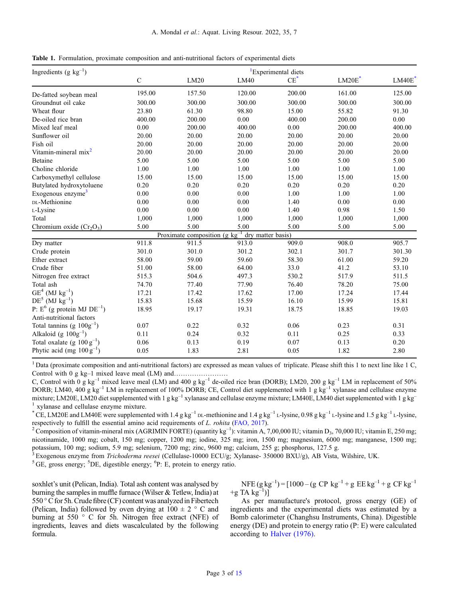<span id="page-2-0"></span>

|  |  |  |  | Table 1. Formulation, proximate composition and anti-nutritional factors of experimental diets |  |  |  |
|--|--|--|--|------------------------------------------------------------------------------------------------|--|--|--|
|--|--|--|--|------------------------------------------------------------------------------------------------|--|--|--|

| Ingredients (g $kg^{-1}$ )          |              |                                             |                   | <sup>1</sup> Experimental diets |                      |        |
|-------------------------------------|--------------|---------------------------------------------|-------------------|---------------------------------|----------------------|--------|
|                                     | $\mathsf{C}$ | LM20                                        | LM40              | $CE^*$                          | $LM20E$ <sup>*</sup> | LM40E  |
| De-fatted soybean meal              | 195.00       | 157.50                                      | 120.00            | 200.00                          | 161.00               | 125.00 |
| Groundnut oil cake                  | 300.00       | 300.00                                      | 300.00            | 300.00                          | 300.00               | 300.00 |
| Wheat flour                         | 23.80        | 61.30                                       | 98.80             | 15.00                           | 55.82                | 91.30  |
| De-oiled rice bran                  | 400.00       | 200.00                                      | 0.00              | 400.00                          | 200.00               | 0.00   |
| Mixed leaf meal                     | 0.00         | 200.00                                      | 400.00            | 0.00                            | 200.00               | 400.00 |
| Sunflower oil                       | 20.00        | 20.00                                       | 20.00             | 20.00                           | 20.00                | 20.00  |
| Fish oil                            | 20.00        | 20.00                                       | 20.00             | 20.00                           | 20.00                | 20.00  |
| Vitamin-mineral mix <sup>2</sup>    | 20.00        | 20.00                                       | 20.00             | 20.00                           | 20.00                | 20.00  |
| Betaine                             | 5.00         | 5.00                                        | 5.00              | 5.00                            | 5.00                 | 5.00   |
| Choline chloride                    | 1.00         | 1.00                                        | 1.00              | 1.00                            | 1.00                 | 1.00   |
| Carboxymethyl cellulose             | 15.00        | 15.00                                       | 15.00             | 15.00                           | 15.00                | 15.00  |
| Butylated hydroxytoluene            | 0.20         | 0.20                                        | 0.20              | 0.20                            | 0.20                 | 0.20   |
| Exogenous enzyme <sup>3</sup>       | 0.00         | 0.00                                        | 0.00              | 1.00                            | 1.00                 | 1.00   |
| DL-Methionine                       | 0.00         | 0.00                                        | 0.00              | 1.40                            | 0.00                 | 0.00   |
| L-Lysine                            | 0.00         | 0.00                                        | 0.00              | 1.40                            | 0.98                 | 1.50   |
| Total                               | 1,000        | 1,000                                       | 1,000             | 1,000                           | 1,000                | 1,000  |
| Chromium oxide $(Cr_2O_3)$          | 5.00         | 5.00                                        | 5.00              | 5.00                            | 5.00                 | 5.00   |
|                                     |              | Proximate composition $(g \text{ kg}^{-1})$ | dry matter basis) |                                 |                      |        |
| Dry matter                          | 911.8        | 911.5                                       | 913.0             | 909.0                           | 908.0                | 905.7  |
| Crude protein                       | 301.0        | 301.0                                       | 301.2             | 302.1                           | 301.7                | 301.30 |
| Ether extract                       | 58.00        | 59.00                                       | 59.60             | 58.30                           | 61.00                | 59.20  |
| Crude fiber                         | 51.00        | 58.00                                       | 64.00             | 33.0                            | 41.2                 | 53.10  |
| Nitrogen free extract               | 515.3        | 504.6                                       | 497.3             | 530.2                           | 517.9                | 511.5  |
| Total ash                           | 74.70        | 77.40                                       | 77.90             | 76.40                           | 78.20                | 75.00  |
| $\mbox{GE}^4$ (MJ $\mbox{kg}^{-1})$ | 17.21        | 17.42                                       | 17.62             | 17.00                           | 17.24                | 17.44  |
| $DE^5$ (MJ $kg^{-1}$ )              | 15.83        | 15.68                                       | 15.59             | 16.10                           | 15.99                | 15.81  |
| P: $E^6$ (g protein MJ $DE^{-1}$ )  | 18.95        | 19.17                                       | 19.31             | 18.75                           | 18.85                | 19.03  |
| Anti-nutritional factors            |              |                                             |                   |                                 |                      |        |
| Total tannins (g $100g^{-1}$ )      | 0.07         | 0.22                                        | 0.32              | 0.06                            | 0.23                 | 0.31   |
| Alkaloid (g $100g^{-1}$ )           | 0.11         | 0.24                                        | 0.32              | 0.11                            | 0.25                 | 0.33   |
| Total oxalate (g $100 g^{-1}$ )     | 0.06         | 0.13                                        | 0.19              | 0.07                            | 0.13                 | 0.20   |
| Phytic acid (mg $100 g^{-1}$ )      | 0.05         | 1.83                                        | 2.81              | 0.05                            | 1.82                 | 2.80   |

<sup>1</sup> Data (proximate composition and anti-nutritional factors) are expressed as mean values of triplicate. Please shift this 1 to next line like 1 C, Control with 0 g kg–1 mixed leave meal (LM) and……………………

C, Control with  $0$  g kg<sup>-1</sup> mixed leave meal (LM) and 400 g kg<sup>-1</sup> de-oiled rice bran (DORB); LM20, 200 g kg<sup>-1</sup> LM in replacement of 50% DORB; LM40, 400 g kg<sup>-1</sup> LM in replacement of 100% DORB; CE, Control diet supplemented with 1 g kg<sup>-1</sup> xylanase and cellulase enzyme mixture; LM20E, LM20 diet supplemented with 1 g kg<sup>-1</sup> xylanase and cellulase enzyme mixture; LM40E, LM40 diet supplemented with 1 g kg<sup>-1</sup> <sup>1</sup> xylanase and cellulase enzyme mixture.

\* CE, LM20E and LM40E were supplemented with 1.4 g kg<sup>-1</sup> DL-methionine and 1.4 g kg<sup>-1</sup> L-lysine, 0.98 g kg<sup>-1</sup> L-lysine and 1.5 g kg<sup>-1</sup> L-lysine,

respectively to fulfill the essential amino acid requirements of *L. rohita* ([FAO, 2017](#page-11-0)).<br><sup>2</sup> Composition of vitamin-mineral mix (AGRIMIN FORTE) (quantity kg<sup>-1</sup>): vitamin A, 7,00,000 IU; vitamin D<sub>3</sub>, 70,000 IU; vitamin E nicotinamide, 1000 mg; cobalt, 150 mg; copper, 1200 mg; iodine, 325 mg; iron, 1500 mg; magnesium, 6000 mg; manganese, 1500 mg; potassium, 100 mg; sodium, 5.9 mg; selenium, 7200 mg; zinc, 9600 mg; calcium, 255 g; phosphorus, 127.5 g.

<sup>3</sup> Exogenous enzyme from *Trichoderma reesei* (Cellulase-10000 ECU/g; Xylanase- 350000 BXU/g), AB Vista, Wilshire, UK.

DE, digestible energy; <sup>6</sup>P: E, protein to energy ratio.

soxhlet's unit (Pelican, India). Total ash content was analysed by burning the samples in muffle furnace (Wilser & Tetlew, India) at 550 °C for 5h. Crude fibre (CF) content was analyzed in Fibertech (Pelican, India) followed by oven drying at  $100 \pm 2$  ° C and burning at 550 ° C for 5h. Nitrogen free extract (NFE) of ingredients, leaves and diets wascalculated by the following formula.

NFE (g kg<sup>-1</sup>) = [1000 – (g CP kg<sup>-1</sup> + g EE kg<sup>-1</sup> + g CF kg<sup>-1</sup> +g TA  $kg^{-1}$ )]

As per manufacture's protocol, gross energy (GE) of ingredients and the experimental diets was estimated by a Bomb calorimeter (Changhsu Instruments, China). Digestible energy (DE) and protein to energy ratio (P: E) were calculated according to [Halver \(1976\)](#page-12-0).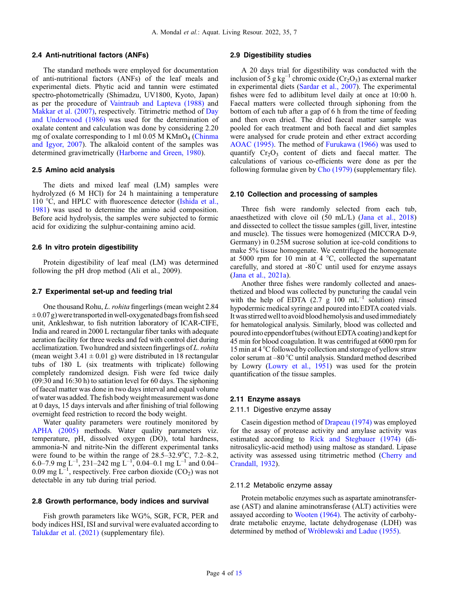#### 2.4 Anti-nutritional factors (ANFs)

The standard methods were employed for documentation of anti-nutritional factors (ANFs) of the leaf meals and experimental diets. Phytic acid and tannin were estimated spectro-photometrically (Shimadzu, UV1800, Kyoto, Japan) as per the procedure of [Vaintraub and Lapteva \(1988\)](#page-14-0) and [Makkar et al. \(2007\)](#page-12-0), respectively. Titrimetric method of [Day](#page-11-0) [and Underwood \(1986\)](#page-11-0) was used for the determination of oxalate content and calculation was done by considering 2.20 mg of oxalate corresponding to 1 ml 0.05 M KMnO<sub>4</sub> [\(Chinma](#page-11-0) [and Igyor, 2007](#page-11-0)). The alkaloid content of the samples was determined gravimetrically [\(Harborne and Green, 1980\)](#page-12-0).

#### 2.5 Amino acid analysis

The diets and mixed leaf meal (LM) samples were hydrolyzed (6 M HCl) for 24 h maintaining a temperature 110 °C, and HPLC with fluorescence detector ([Ishida et al.,](#page-12-0) [1981](#page-12-0)) was used to determine the amino acid composition. Before acid hydrolysis, the samples were subjected to formic acid for oxidizing the sulphur-containing amino acid.

#### 2.6 In vitro protein digestibility

Protein digestibility of leaf meal (LM) was determined following the pH drop method (Ali et al., 2009).

#### 2.7 Experimental set-up and feeding trial

One thousand Rohu, L. rohita fingerlings (mean weight 2.84  $\pm 0.07$  g) were transported in well-oxygenated bags from fish seed unit, Ankleshwar, to fish nutrition laboratory of ICAR-CIFE, India and reared in 2000 L rectangular fiber tanks with adequate aeration facility for three weeks and fed with control diet during acclimatization. Two hundred and sixteen fingerlings of L. rohita (mean weight  $3.41 \pm 0.01$  g) were distributed in 18 rectangular tubs of 180 L (six treatments with triplicate) following completely randomized design. Fish were fed twice daily (09:30 and 16:30 h) to satiation level for 60 days. The siphoning of faecal matter was done in two days interval and equal volume of water was added. The fish body weightmeasurement was done at 0 days, 15 days intervals and after finishing of trial following overnight feed restriction to record the body weight.

Water quality parameters were routinely monitored by [APHA \(2005\)](#page-11-0) methods. Water quality parameters viz. temperature, pH, dissolved oxygen (DO), total hardness, ammonia-N and nitrite-Nin the different experimental tanks were found to be within the range of  $28.5-32.9^{\circ}$ C, 7.2-8.2, 6.0–7.9 mg L<sup>-1</sup>, 231–242 mg L<sup>-1</sup>, 0.04–0.1 mg L<sup>-1</sup> and 0.04– 0.09 mg  $L^{-1}$ , respectively. Free carbon dioxide (CO<sub>2</sub>) was not detectable in any tub during trial period.

#### 2.8 Growth performance, body indices and survival

Fish growth parameters like WG%, SGR, FCR, PER and body indices HSI, ISI and survival were evaluated according to [Talukdar et al. \(2021\)](#page-13-0) (supplementary file).

#### 2.9 Digestibility studies

A 20 days trial for digestibility was conducted with the inclusion of 5 g kg<sup>-1</sup> chromic oxide (Cr<sub>2</sub>O<sub>3</sub>) as external marker in experimental diets [\(Sardar et al., 2007\)](#page-13-0). The experimental fishes were fed to adlibitum level daily at once at 10:00 h. Faecal matters were collected through siphoning from the bottom of each tub after a gap of 6 h from the time of feeding and then oven dried. The dried faecal matter sample was pooled for each treatment and both faecal and diet samples were analysed for crude protein and ether extract according [AOAC \(1995\)](#page-11-0). The method of [Furukawa \(1966\)](#page-12-0) was used to quantify  $Cr<sub>2</sub>O<sub>3</sub>$  content of diets and faecal matter. The calculations of various co-efficients were done as per the following formulae given by [Cho \(1979\)](#page-11-0) (supplementary file).

## 2.10 Collection and processing of samples

Three fish were randomly selected from each tub, anaesthetized with clove oil (50 mL/L) ([Jana et al., 2018](#page-12-0)) and dissected to collect the tissue samples (gill, liver, intestine and muscle). The tissues were homogenized (MICCRA D-9, Germany) in 0.25M sucrose solution at ice-cold conditions to make 5% tissue homogenate. We centrifuged the homogenate at 5000 rpm for 10 min at 4 °C, collected the supernatant carefully, and stored at -80° C until used for enzyme assays ([Jana et al., 2021a](#page-12-0)).

Another three fishes were randomly collected and anaesthetized and blood was collected by puncturing the caudal vein with the help of EDTA  $(2.7 \text{ g } 100 \text{ mL}^{-1}$  solution) rinsed hypodermic medical syringe and poured into EDTA coated vials. It was stirred well to avoid blood hemolysis and used immediately for hematological analysis. Similarly, blood was collected and pouredinto eppendorftubes (without EDTA coating) and kept for 45 min for blood coagulation. It was centrifuged at 6000 rpm for 15 min at 4 °C followed by collection and storage of yellow straw color serum at –80 °C until analysis. Standard method described by Lowry ([Lowry et al., 1951](#page-12-0)) was used for the protein quantification of the tissue samples.

## 2.11 Enzyme assays

#### 2.11.1 Digestive enzyme assay

Casein digestion method of [Drapeau \(1974\)](#page-11-0) was employed for the assay of protease activity and amylase activity was estimated according to [Rick and Stegbauer \(1974\)](#page-13-0) (dinitrosalicylic-acid method) using maltose as standard. Lipase activity was assessed using titrimetric method [\(Cherry and](#page-11-0) [Crandall, 1932](#page-11-0)).

#### 2.11.2 Metabolic enzyme assay

Protein metabolic enzymes such as aspartate aminotransferase (AST) and alanine aminotransferase (ALT) activities were assayed according to [Wooten \(1964\).](#page-14-0) The activity of carbohydrate metabolic enzyme, lactate dehydrogenase (LDH) was determined by method of [Wróblewski and Ladue \(1955\).](#page-14-0)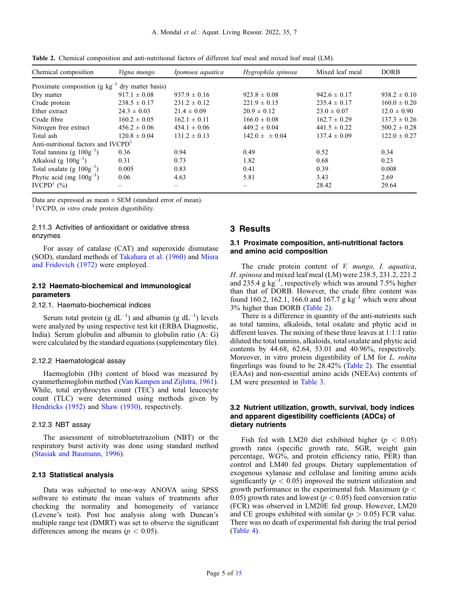| Chemical composition                            | Vigna mungo       | Ipomoea aquatica | Hygrophila spinosa   | Mixed leaf meal  | <b>DORB</b>      |
|-------------------------------------------------|-------------------|------------------|----------------------|------------------|------------------|
| Proximate composition (g $kg^{-1}$              | dry matter basis) |                  |                      |                  |                  |
| Dry matter                                      | $917.1 \pm 0.08$  | $937.9 \pm 0.16$ | $923.8 \pm 0.08$     | $942.6 \pm 0.17$ | $938.2 \pm 0.10$ |
| Crude protein                                   | $238.5 \pm 0.17$  | $231.2 \pm 0.12$ | $221.9 \pm 0.15$     | $235.4 \pm 0.17$ | $160.0 \pm 0.20$ |
| Ether extract                                   | $24.3 \pm 0.03$   | $21.4 \pm 0.09$  | $20.9 \pm 0.12$      | $23.0 \pm 0.07$  | $12.0 \pm 0.90$  |
| Crude fibre                                     | $160.2 \pm 0.05$  | $162.1 \pm 0.11$ | $166.0 \pm 0.08$     | $162.7 \pm 0.29$ | $137.3 \pm 0.26$ |
| Nitrogen free extract                           | $456.2 \pm 0.06$  | $454.1 \pm 0.06$ | $449.2 \pm 0.04$     | $441.5 \pm 0.22$ | $500.2 \pm 0.28$ |
| Total ash                                       | $120.8 \pm 0.04$  | $131.2 \pm 0.13$ | $142.0 \pm \pm 0.04$ | $137.4 \pm 0.09$ | $122.0 \pm 0.27$ |
| Anti-nutritional factors and IVCPD <sup>1</sup> |                   |                  |                      |                  |                  |
| Total tannins (g $100g^{-1}$ )                  | 0.36              | 0.94             | 0.49                 | 0.52             | 0.34             |
| Alkaloid (g $100g^{-1}$ )                       | 0.31              | 0.73             | 1.82                 | 0.68             | 0.23             |
| Total oxalate (g $100g^{-1}$ )                  | 0.005             | 0.83             | 0.41                 | 0.39             | 0.008            |
| Phytic acid (mg $100g^{-1}$ )                   | 0.06              | 4.63             | 5.81                 | 3.43             | 2.69             |
| IVCPD <sup>1</sup> $(\% )$                      |                   |                  |                      | 28.42            | 29.64            |

Table 2. Chemical composition and anti-nutritional factors of different leaf meal and mixed leaf meal (LM).

Data are expressed as mean  $\pm$  SEM (standard error of mean). <sup>1</sup> IVCPD, *in vitro* crude protein digestibility.

#### 2.11.3 Activities of antioxidant or oxidative stress enzymes

For assay of catalase (CAT) and superoxide dismutase (SOD), standard methods of [Takahara et al. \(1960\)](#page-13-0) and [Misra](#page-13-0) [and Fridovich \(1972\)](#page-13-0) were employed.

## 2.12 Haemato-biochemical and immunological parameters

## 2.12.1. Haemato-biochemical indices

Serum total protein (g  $dL^{-1}$ ) and albumin (g  $dL^{-1}$ ) levels were analyzed by using respective test kit (ERBA Diagnostic, India). Serum globulin and albumin to globulin ratio (A: G) were calculated by the standard equations (supplementary file).

#### 2.12.2 Haematological assay

Haemoglobin (Hb) content of blood was measured by cyanmethemoglobin method [\(Van Kampen and Zijlstra, 1961](#page-14-0)). While, total erythrocytes count (TEC) and total leucocyte count (TLC) were determined using methods given by [Hendricks \(1952\)](#page-12-0) and [Shaw \(1930\)](#page-13-0), respectively.

#### 2.12.3 NBT assay

The assessment of nitrobluetetrazolium (NBT) or the respiratory burst activity was done using standard method ([Stasiak and Baumann, 1996\)](#page-13-0).

## 2.13 Statistical analysis

Data was subjected to one-way ANOVA using SPSS software to estimate the mean values of treatments after checking the normality and homogeneity of variance (Levene's test). Post hoc analysis along with Duncan's multiple range test (DMRT) was set to observe the significant differences among the means ( $p < 0.05$ ).

## 3 Results

## 3.1 Proximate composition, anti-nutritional factors and amino acid composition

The crude protein content of *V. mungo*, *I. aquatica*, H. spinosa and mixed leaf meal (LM) were 238.5, 231.2, 221.2 and 235.4 g kg–<sup>1</sup> , respectively which was around 7.5% higher than that of DORB. However, the crude fibre content was found 160.2, 162.1, 166.0 and 167.7 g  $kg^{-1}$  which were about 3% higher than DORB (Table 2).

There is a difference in quantity of the anti-nutrients such as total tannins, alkaloids, total oxalate and phytic acid in different leaves. The mixing of these three leaves at 1:1:1 ratio diluted the total tannins, alkaloids, total oxalate and phytic acid contents by 44.68, 62.64, 53.01 and 40.96%, respectively. Moreover, in vitro protein digestibility of LM for L. rohita fingerlings was found to be 28.42% (Table 2). The essential (EAAs) and non-essential amino acids (NEEAs) contents of LM were presented in [Table 3](#page-5-0).

## 3.2 Nutrient utilization, growth, survival, body indices and apparent digestibility coefficients (ADCs) of dietary nutrients

Fish fed with LM20 diet exhibited higher ( $p < 0.05$ ) growth rates (specific growth rate, SGR, weight gain percentage, WG%, and protein efficiency ratio, PER) than control and LM40 fed groups. Dietary supplementation of exogenous xylanase and cellulase and limiting amino acids significantly ( $p < 0.05$ ) improved the nutrient utilization and growth performance in the experimental fish. Maximum ( $p <$ 0.05) growth rates and lowest ( $p < 0.05$ ) feed conversion ratio (FCR) was observed in LM20E fed group. However, LM20 and CE groups exhibited with similar ( $p > 0.05$ ) FCR value. There was no death of experimental fish during the trial period ([Table 4](#page-5-0)).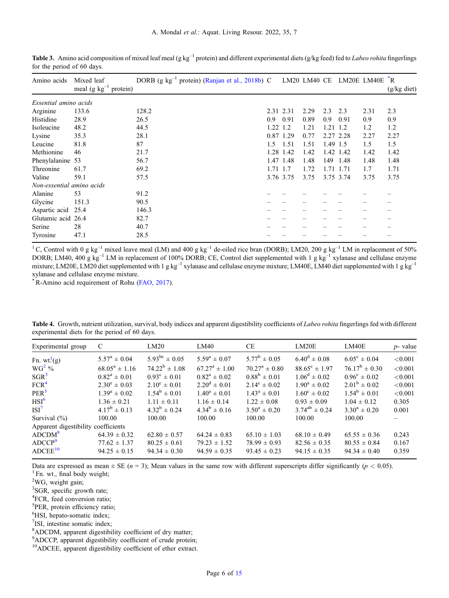| Amino acids               | Mixed leaf<br>meal (g $kg^{-1}$ protein) | DORB (g kg <sup>-1</sup> protein) (Ranjan et al., 2018b) C LM20 LM40 CE LM20E LM40E <sup>*</sup> R |          |           |      |          |           |      | (g/kg diet) |
|---------------------------|------------------------------------------|----------------------------------------------------------------------------------------------------|----------|-----------|------|----------|-----------|------|-------------|
| Essential amino acids     |                                          |                                                                                                    |          |           |      |          |           |      |             |
| Arginine                  | 133.6                                    | 128.2                                                                                              |          | 2.31 2.31 | 2.29 | 2.3      | 2.3       | 2.31 | 2.3         |
| Histidine                 | 28.9                                     | 26.5                                                                                               | 0.9      | 0.91      | 0.89 | 0.9      | 0.91      | 0.9  | 0.9         |
| Isoleucine                | 48.2                                     | 44.5                                                                                               | 1.22     | 1.2       | 1.21 | 1.21     | 1.2       | 1.2  | 1.2         |
| Lysine                    | 35.3                                     | 28.1                                                                                               | 0.87     | 1.29      | 0.77 |          | 2.27 2.28 | 2.27 | 2.27        |
| Leucine                   | 81.8                                     | 87                                                                                                 | 1.5      | 1.51      | 1.51 | 1.49 1.5 |           | 1.5  | 1.5         |
| Methionine                | 46                                       | 21.7                                                                                               |          | 1.28 1.42 | 1.42 |          | 1.42 1.42 | 1.42 | 1.42        |
| Phenylalanine 53          |                                          | 56.7                                                                                               |          | 1.47 1.48 | 1.48 | 149      | 1.48      | 1.48 | 1.48        |
| Threonine                 | 61.7                                     | 69.2                                                                                               | 1.71 1.7 |           | 1.72 |          | 1.71 1.71 | 1.7  | 1.71        |
| Valine                    | 59.1                                     | 57.5                                                                                               |          | 3.76 3.75 | 3.75 |          | 3.75 3.74 | 3.75 | 3.75        |
| Non-essential amino acids |                                          |                                                                                                    |          |           |      |          |           |      |             |
| Alanine                   | 53                                       | 91.2                                                                                               |          |           |      |          |           |      |             |
| Glycine                   | 151.3                                    | 90.5                                                                                               |          |           |      |          |           |      |             |
| Aspartic acid             | 25.4                                     | 146.3                                                                                              |          |           |      |          |           |      |             |
| Glutamic acid 26.4        |                                          | 82.7                                                                                               |          |           |      |          |           |      |             |
| Serine                    | 28                                       | 40.7                                                                                               |          |           |      |          |           |      |             |
| Tyrosine                  | 47.1                                     | 28.5                                                                                               |          |           |      |          |           |      |             |

<span id="page-5-0"></span>**Table 3.** Amino acid composition of mixed leaf meal (g kg<sup>-1</sup> protein) and different experimental diets (g/kg feed) fed to *Labeo rohita* fingerlings for the period of 60 days.

<sup>1</sup>C, Control with 0 g kg<sup>-1</sup> mixed leave meal (LM) and 400 g kg<sup>-1</sup> de-oiled rice bran (DORB); LM20, 200 g kg<sup>-1</sup> LM in replacement of 50% DORB; LM40, 400 g  $kg^{-1}$  LM in replacement of 100% DORB; CE, Control diet supplemented with 1 g  $kg^{-1}$  xylanase and cellulase enzyme mixture; LM20E, LM20 diet supplemented with 1 g kg<sup>-1</sup> xylanase and cellulase enzyme mixture; LM40E, LM40 diet supplemented with 1 g kg<sup>-1</sup> xylanase and cellulase enzyme mixture.

\*R-Amino acid requirement of Rohu [\(FAO, 2017\)](#page-11-0).

Table 4. Growth, nutrient utilization, survival, body indices and apparent digestibility coefficients of Labeo rohita fingerlings fed with different experimental diets for the period of 60 days.

| Experimental group                  | C                       | LM20                    | LM40                     | <b>CE</b>                        | LM20E                    | LM40E                   | $p$ - value |
|-------------------------------------|-------------------------|-------------------------|--------------------------|----------------------------------|--------------------------|-------------------------|-------------|
| Fn. wt. <sup>1</sup> (g)            | $5.57^{\rm a} \pm 0.04$ | $5.93^{bc} \pm 0.05$    | $5.59^a \pm 0.07$        | $5.77^{\rm b} \pm 0.05$          | $6.40^d \pm 0.08$        | $6.05^{\circ} \pm 0.04$ | < 0.001     |
| $WG^2$ %                            | $68.05^a \pm 1.16$      | $74.22^b \pm 1.08$      | $67.27^{\rm a} \pm 1.00$ | $70.27^{\rm a} \pm 0.80^{\rm b}$ | $88.65^{\circ} \pm 1.97$ | $76.17^b \pm 0.30$      | < 0.001     |
| $SGR^3$                             | $0.82^a \pm 0.01$       | $0.93^{\circ} \pm 0.01$ | $0.82^a \pm 0.02$        | $0.88^b \pm 0.01$                | $1.06^d \pm 0.02$        | $0.96^{\circ} \pm 0.02$ | < 0.001     |
| FCR <sup>4</sup>                    | $2.30^e \pm 0.03$       | $2.10^{\circ} \pm 0.01$ | $2.20^d \pm 0.01$        | $2.14^{\circ} \pm 0.02$          | $1.90^a \pm 0.02$        | $2.01^{\rm b} \pm 0.02$ | < 0.001     |
| $PER^5$                             | $1.39^a \pm 0.02$       | $1.54^b \pm 0.01$       | $1.40^a \pm 0.01$        | $1.43^a \pm 0.01$                | $1.60^{\circ} \pm 0.02$  | $1.54^b \pm 0.01$       | < 0.001     |
| $HSI^6$                             | $1.36 \pm 0.21$         | $1.11 \pm 0.11$         | $1.16 \pm 0.14$          | $1.22 \pm 0.08$                  | $0.93 \pm 0.09$          | $1.04 \pm 0.12$         | 0.305       |
| ISI <sup>7</sup>                    | $4.17^b \pm 0.13$       | $4.32^b \pm 0.24$       | $4.34^b \pm 0.16$        | $3.50^a \pm 0.20$                | $3.74^{ab} \pm 0.24$     | $3.30^a \pm 0.20$       | 0.001       |
| Survival $(\% )$                    | 100.00                  | 100.00                  | 100.00                   | 100.00                           | 100.00                   | 100.00                  |             |
| Apparent digestibility coefficients |                         |                         |                          |                                  |                          |                         |             |
| ADCDM <sup>8</sup>                  | $64.39 \pm 0.32$        | $62.80 \pm 0.57$        | $64.24 \pm 0.83$         | $65.10 \pm 1.03$                 | $68.10 \pm 0.49$         | $65.55 \pm 0.36$        | 0.243       |
| ADCCP <sup>9</sup>                  | $77.62 \pm 1.37$        | $80.25 \pm 0.61$        | $79.23 \pm 1.52$         | $78.99 \pm 0.93$                 | $82.56 \pm 0.35$         | $80.55 \pm 0.84$        | 0.167       |
| ADCEE <sup>10</sup>                 | $94.25 \pm 0.15$        | $94.34 \pm 0.30$        | $94.59 \pm 0.35$         | $93.45 \pm 0.23$                 | $94.15 \pm 0.35$         | $94.34 \pm 0.40$        | 0.359       |
|                                     |                         |                         |                          |                                  |                          |                         |             |

Data are expressed as mean  $\pm$  SE (*n* = 3); Mean values in the same row with different superscripts differ significantly (*p* < 0.05). <sup>1</sup> Fn. wt., final body weight;

<sup>2</sup>WG, weight gain;

 ${}^{3}$ SGR, specific growth rate;

<sup>4</sup>FCR, feed conversion ratio;

 ${}^{5}$ PER, protein efficiency ratio;<br> ${}^{6}$ HSL beneto somatic index:

<sup>6</sup>HSI, hepato-somatic index;

7 ISI, intestine somatic index;

 ${}^{8}$ ADCDM, apparent digestibility coefficient of dry matter;  ${}^{9}$ ADCCP apparent digestibility coefficient of crude protein

<sup>9</sup>ADCCP, apparent digestibility coefficient of crude protein; <sup>10</sup>ADCEE, apparent digestibility coefficient of ether extract.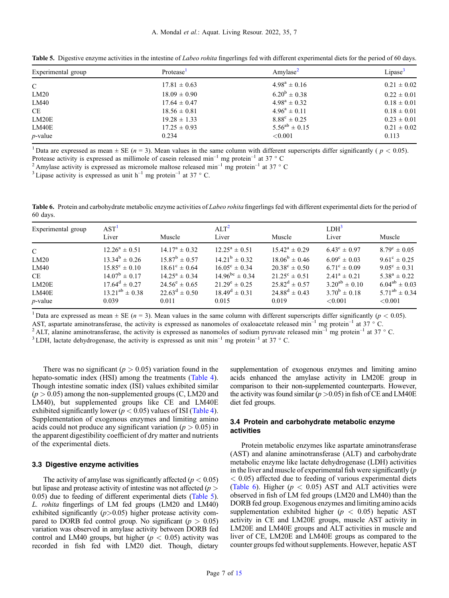| Experimental group | Protease <sup>1</sup> | Amylase <sup>2</sup>    | Lipase <sup>3</sup> |
|--------------------|-----------------------|-------------------------|---------------------|
| $\mathcal{C}$      | $17.81 \pm 0.63$      | $4.98^a \pm 0.16$       | $0.21 \pm 0.02$     |
| LM20               | $18.09 \pm 0.90$      | $6.20^{\rm b} \pm 0.38$ | $0.22 \pm 0.01$     |
| LM40               | $17.64 \pm 0.47$      | $4.98^a \pm 0.32$       | $0.18 \pm 0.01$     |
| CE                 | $18.56 \pm 0.81$      | $4.96^a \pm 0.11$       | $0.18 \pm 0.01$     |
| LM20E              | $19.28 \pm 1.33$      | $8.88^{\circ} \pm 0.25$ | $0.23 \pm 0.01$     |
| LM40E              | $17.25 \pm 0.93$      | $5.56^{ab} \pm 0.15$    | $0.21 \pm 0.02$     |
| <i>p</i> -value    | 0.234                 | < 0.001                 | 0.113               |

<span id="page-6-0"></span>Table 5. Digestive enzyme activities in the intestine of *Labeo rohita* fingerlings fed with different experimental diets for the period of 60 days.

<sup>1</sup> Data are expressed as mean  $\pm$  SE (*n* = 3). Mean values in the same column with different superscripts differ significantly (*p* < 0.05). Protease activity is expressed as millimole of casein released min<sup>-1</sup> mg pro

<sup>2</sup> Amylase activity is expressed as micromole maltose released min<sup>-1</sup> mg protein<sup>-1</sup> at 37 ° C<br><sup>3</sup> Lipase activity is expressed as unit h<sup>-1</sup> mg protein<sup>-1</sup> at 37 ° C.

Table 6. Protein and carbohydrate metabolic enzyme activities of Labeo rohita fingerlings fed with different experimental diets for the period of 60 days.

| Experimental group | AST <sup>1</sup><br>Liver | Muscle                   | ALT <sup>2</sup><br>Liver | Muscle                   | LDH <sup>3</sup><br>Liver | Muscle                  |
|--------------------|---------------------------|--------------------------|---------------------------|--------------------------|---------------------------|-------------------------|
| $\mathcal{C}$      | $12.26^a \pm 0.51$        | $14.17^{\rm a} \pm 0.32$ | $12.25^a \pm 0.51$        | $15.42^{\rm a} \pm 0.29$ | $6.43^{\circ} \pm 0.97$   | $8.79^{\circ} \pm 0.05$ |
| LM20               | $13.34^b \pm 0.26$        | $15.87^b \pm 0.57$       | $14.21^b \pm 0.32$        | $18.06^b \pm 0.46$       | $6.09^{\circ} \pm 0.03$   | $9.61^{\circ} \pm 0.25$ |
| LM40               | $15.85^{\circ} \pm 0.10$  | $18.61^{\circ} \pm 0.64$ | $16.05^{\circ} \pm 0.34$  | $20.38^{\circ} \pm 0.50$ | $6.71^{\circ} \pm 0.09$   | $9.05^{\circ} \pm 0.31$ |
| <b>CE</b>          | $14.07^b \pm 0.17$        | $14.25^{\rm a} \pm 0.34$ | $14.96^{bc} \pm 0.34$     | $21.25^{\circ} \pm 0.51$ | $2.41^a \pm 0.21$         | $5.38^a \pm 0.22$       |
| LM20E              | $17.64^d \pm 0.27$        | $24.56^e \pm 0.65$       | $21.29^e \pm 0.25$        | $25.82^d \pm 0.57$       | $3.20^{ab} \pm 0.10$      | $6.04^{ab} \pm 0.03$    |
| LM40E              | $13.21^{ab} \pm 0.38$     | $22.63^d \pm 0.50$       | $18.49^d \pm 0.31$        | $24.88^d \pm 0.43$       | $3.70^b \pm 0.18$         | $5.71^{ab} \pm 0.34$    |
| $p$ -value         | 0.039                     | 0.011                    | 0.015                     | 0.019                    | ${<}0.001$                | < 0.001                 |

<sup>1</sup> Data are expressed as mean  $\pm$  SE ( $n = 3$ ). Mean values in the same column with different superscripts differ significantly ( $p < 0.05$ ).

AST, aspartate aminotransferase, the activity is expressed as nanomoles of oxaloacetate released min<sup>-1</sup> mg protein<sup>-1</sup> at 37 ° C.<br><sup>2</sup> ALT, alanine aminotransferase, the activity is expressed as nanomoles of sodium pyruva

There was no significant ( $p > 0.05$ ) variation found in the hepato-somatic index (HSI) among the treatments [\(Table 4](#page-5-0)). Though intestine somatic index (ISI) values exhibited similar  $(p > 0.05)$  among the non-supplemented groups (C, LM20 and LM40), but supplemented groups like CE and LM40E exhibited significantly lower ( $p < 0.05$ ) values of ISI [\(Table 4](#page-5-0)). Supplementation of exogenous enzymes and limiting amino acids could not produce any significant variation ( $p > 0.05$ ) in the apparent digestibility coefficient of dry matter and nutrients of the experimental diets.

#### 3.3 Digestive enzyme activities

The activity of amylase was significantly affected ( $p < 0.05$ ) but lipase and protease activity of intestine was not affected  $(p >$ 0.05) due to feeding of different experimental diets (Table 5). L. rohita fingerlings of LM fed groups (LM20 and LM40) exhibited significantly  $(p>0.05)$  higher protease activity compared to DORB fed control group. No significant ( $p > 0.05$ ) variation was observed in amylase activity between DORB fed control and LM40 groups, but higher ( $p < 0.05$ ) activity was recorded in fish fed with LM20 diet. Though, dietary

supplementation of exogenous enzymes and limiting amino acids enhanced the amylase activity in LM20E group in comparison to their non-supplemented counterparts. However, the activity was found similar ( $p > 0.05$ ) in fish of CE and LM40E diet fed groups.

## 3.4 Protein and carbohydrate metabolic enzyme activities

Protein metabolic enzymes like aspartate aminotransferase (AST) and alanine aminotransferase (ALT) and carbohydrate metabolic enzyme like lactate dehydrogenase (LDH) activities in the liver and muscle of experimental fish were significantly  $(p)$  $< 0.05$ ) affected due to feeding of various experimental diets (Table 6). Higher  $(p < 0.05)$  AST and ALT activities were observed in fish of LM fed groups (LM20 and LM40) than the DORB fed group. Exogenous enzymes and limiting amino acids supplementation exhibited higher ( $p < 0.05$ ) hepatic AST activity in CE and LM20E groups, muscle AST activity in LM20E and LM40E groups and ALT activities in muscle and liver of CE, LM20E and LM40E groups as compared to the counter groups fed without supplements. However, hepatic AST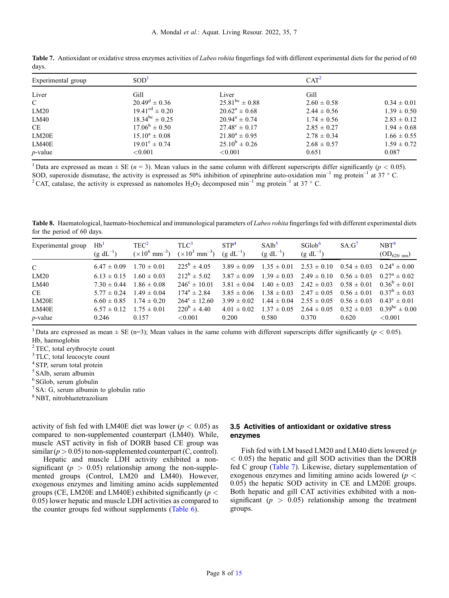| Experimental group | SOD <sup>1</sup>             | CAT <sup>2</sup>         |                 |                 |  |
|--------------------|------------------------------|--------------------------|-----------------|-----------------|--|
| Liver              | Gill                         | Liver                    | Gill            |                 |  |
| $\mathcal{C}$      | $20.49^d \pm 0.36$           | $25.81^{bc} \pm 0.88$    | $2.60 \pm 0.58$ | $0.34 \pm 0.01$ |  |
| LM20               | $19.41^{\text{cd}} \pm 0.20$ | $20.62^a \pm 0.68$       | $2.44 \pm 0.56$ | $1.39 \pm 0.50$ |  |
| LM40               | $18.34^{bc} \pm 0.25$        | $20.94^a \pm 0.74$       | $1.74 \pm 0.56$ | $2.83 \pm 0.12$ |  |
| CE                 | $17.06^b \pm 0.50$           | $27.48^{\circ} \pm 0.17$ | $2.85 \pm 0.27$ | $1.94 \pm 0.68$ |  |
| LM20E              | $15.10^a \pm 0.08$           | $21.80^a \pm 0.95$       | $2.78 \pm 0.34$ | $1.66 \pm 0.55$ |  |
| LM40E              | $19.01^{\circ} \pm 0.74$     | $25.10^b \pm 0.26$       | $2.68 \pm 0.57$ | $1.59 \pm 0.72$ |  |
| $p$ -value         | ${<}0.001$                   | ${<}0.001$               | 0.651           | 0.087           |  |

<span id="page-7-0"></span>Table 7. Antioxidant or oxidative stress enzymes activities of *Labeo rohita* fingerlings fed with different experimental diets for the period of 60 days.

<sup>1</sup> Data are expressed as mean  $\pm$  SE (n = 3). Mean values in the same column with different superscripts differ significantly (p < 0.05). SOD, superoxide dismutase, the activity is expressed as 50% inhibition of epinephrine auto-oxidation min<sup>-1</sup> mg protein<sup>-1</sup> at 37 ° C.<br><sup>2</sup> CAT, catalase, the activity is expressed as nanomoles H<sub>2</sub>O<sub>2</sub> decomposed min<sup>-1</sup>

Table 8. Haematological, haemato-biochemical and immunological parameters of *Labeo rohita* fingerlings fed with different experimental diets for the period of 60 days.

| Experimental group | Hb <sup>1</sup><br>$(g \, dL^{-1})$ | TEC <sup>2</sup><br>$(\times 10^6 \text{ mm}^{-3})$ | T <sup>1</sup> C <sup>3</sup><br>$(\times 10^3 \text{ mm}^{-3})$ | STP <sup>4</sup><br>$(g \, dL^{-1})$ | SAlb <sup>5</sup><br>$(g \, dL^{-1})$ | SGlob <sup>6</sup><br>$(g \, dL^{-1})$ | $SA:G^7$        | NBT <sup>8</sup><br>$OD_{620 \text{ nm}}$ |
|--------------------|-------------------------------------|-----------------------------------------------------|------------------------------------------------------------------|--------------------------------------|---------------------------------------|----------------------------------------|-----------------|-------------------------------------------|
| $\mathcal{C}$      | $6.47 \pm 0.09$                     | $1.70 \pm 0.01$                                     | $225^{\rm b} \pm 4.05$                                           | $3.89 \pm 0.09$                      | $1.35 \pm 0.01$                       | $2.53 \pm 0.10$                        | $0.54 \pm 0.03$ | $0.24^a \pm 0.00$                         |
| LM20               | $6.13 \pm 0.15$                     | $1.60 \pm 0.03$                                     | $212^b \pm 5.02$                                                 | $3.87 \pm 0.09$                      | $1.39 \pm 0.03$                       | $2.49 \pm 0.10$                        | $0.56 \pm 0.03$ | $0.27^a \pm 0.02$                         |
| LM40               | $7.30 \pm 0.44$                     | $1.86 \pm 0.08$                                     | $246^{\circ} \pm 10.01$                                          | $3.81 \pm 0.04$                      | $1.40 \pm 0.03$                       | $2.42 \pm 0.03$                        | $0.58 \pm 0.01$ | $0.36^b \pm 0.01$                         |
| CE.                | $5.77 \pm 0.24$                     | $1.49 \pm 0.04$                                     | $174^a \pm 2.84$                                                 | $3.85 \pm 0.06$                      | $1.38 \pm 0.03$                       | $2.47 \pm 0.05$                        | $0.56 \pm 0.01$ | $0.37^b \pm 0.03$                         |
| LM20E              | $6.60 \pm 0.85$                     | $1.74 \pm 0.20$                                     | $264^{\circ} \pm 12.60$                                          | $3.99 \pm 0.02$                      | $1.44 \pm 0.04$                       | $2.55 \pm 0.05$                        | $0.56 \pm 0.03$ | $0.43^{\circ} \pm 0.01$                   |
| LM40E              | $6.57 \pm 0.12$                     | $1.75 \pm 0.01$                                     | $220^{\rm b} \pm 4.40^{\rm c}$                                   | $4.01 \pm 0.02$                      | $1.37 \pm 0.05$                       | $2.64 \pm 0.05$                        | $0.52 \pm 0.03$ | $0.39^{bc} \pm 0.00$                      |
| <i>p</i> -value    | 0.246                               | 0.157                                               | ${<}0.001$                                                       | 0.200                                | 0.580                                 | 0.370                                  | 0.620           | < 0.001                                   |

<sup>1</sup> Data are expressed as mean  $\pm$  SE (n=3); Mean values in the same column with different superscripts differ significantly ( $p < 0.05$ ). Hb, haemoglobin

<sup>2</sup> TEC, total erythrocyte count

<sup>3</sup> TLC, total leucocyte count

<sup>4</sup> STP, serum total protein

<sup>5</sup> SAlb, serum albumin

<sup>6</sup> SGlob, serum globulin

<sup>7</sup> SA: G, serum albumin to globulin ratio

<sup>8</sup> NBT, nitrobluetetrazolium

activity of fish fed with LM40E diet was lower ( $p < 0.05$ ) as compared to non-supplemented counterpart (LM40). While, muscle AST activity in fish of DORB based CE group was similar ( $p > 0.05$ ) to non-supplemented counterpart (C, control).

Hepatic and muscle LDH activity exhibited a nonsignificant ( $p > 0.05$ ) relationship among the non-supplemented groups (Control, LM20 and LM40). However, exogenous enzymes and limiting amino acids supplemented groups (CE, LM20E and LM40E) exhibited significantly ( $p <$ 0.05) lower hepatic and muscle LDH activities as compared to the counter groups fed without supplements ([Table 6](#page-6-0)).

## 3.5 Activities of antioxidant or oxidative stress enzymes

Fish fed with LM based LM20 and LM40 diets lowered (p  $<$  0.05) the hepatic and gill SOD activities than the DORB fed C group (Table 7). Likewise, dietary supplementation of exogenous enzymes and limiting amino acids lowered ( $p <$ 0.05) the hepatic SOD activity in CE and LM20E groups. Both hepatic and gill CAT activities exhibited with a nonsignificant ( $p > 0.05$ ) relationship among the treatment groups.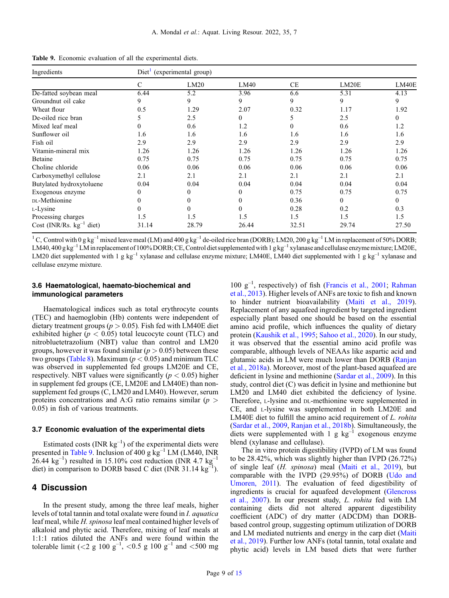| Ingredients                   | $Diet1$ (experimental group) |                  |              |          |          |          |  |  |
|-------------------------------|------------------------------|------------------|--------------|----------|----------|----------|--|--|
|                               | C                            | LM20             | LM40         | CE       | LM20E    | LM40E    |  |  |
| De-fatted soybean meal        | 6.44                         | 5.2              | 3.96         | 6.6      | 5.31     | 4.13     |  |  |
| Groundnut oil cake            | 9                            | 9                | 9            | 9        | 9        | 9        |  |  |
| Wheat flour                   | 0.5                          | 1.29             | 2.07         | 0.32     | 1.17     | 1.92     |  |  |
| De-oiled rice bran            |                              | 2.5              | $\Omega$     | 5        | 2.5      | 0        |  |  |
| Mixed leaf meal               | 0                            | 0.6              | 1.2          | $\theta$ | 0.6      | 1.2      |  |  |
| Sunflower oil                 | 1.6                          | 1.6              | 1.6          | 1.6      | 1.6      | 1.6      |  |  |
| Fish oil                      | 2.9                          | 2.9              | 2.9          | 2.9      | 2.9      | 2.9      |  |  |
| Vitamin-mineral mix           | 1.26                         | 1.26             | 1.26         | 1.26     | 1.26     | 1.26     |  |  |
| Betaine                       | 0.75                         | 0.75             | 0.75         | 0.75     | 0.75     | 0.75     |  |  |
| Choline chloride              | 0.06                         | 0.06             | 0.06         | 0.06     | 0.06     | 0.06     |  |  |
| Carboxymethyl cellulose       | 2.1                          | 2.1              | 2.1          | 2.1      | 2.1      | 2.1      |  |  |
| Butylated hydroxytoluene      | 0.04                         | 0.04             | 0.04         | 0.04     | 0.04     | 0.04     |  |  |
| Exogenous enzyme              | $\Omega$                     | $\mathbf{0}$     | $\mathbf{0}$ | 0.75     | 0.75     | 0.75     |  |  |
| DL-Methionine                 |                              | $\mathbf{0}$     | $\mathbf{0}$ | 0.36     | $\theta$ | $\Omega$ |  |  |
| L-Lysine                      |                              | $\boldsymbol{0}$ | $\theta$     | 0.28     | 0.2      | 0.3      |  |  |
| Processing charges            | 1.5                          | 1.5              | 1.5          | 1.5      | 1.5      | 1.5      |  |  |
| Cost (INR/Rs. $kg^{-1}$ diet) | 31.14                        | 28.79            | 26.44        | 32.51    | 29.74    | 27.50    |  |  |

Table 9. Economic evaluation of all the experimental diets.

<sup>1</sup>C, Control with 0 g kg<sup>-1</sup> mixed leave meal (LM) and 400 g kg<sup>-1</sup> de-oiled rice bran (DORB); LM20, 200 g kg<sup>-1</sup> LM in replacement of 50% DORB; LM40, 400 g kg<sup>-1</sup> LM in replacement of 100% DORB; CE, Control diet supplemented with 1 g kg<sup>-1</sup> xylanase and cellulase enzyme mixture; LM20E, LM20 diet supplemented with 1 g kg<sup>-1</sup> xylanase and cellulase enzyme mixture; LM40E, LM40 diet supplemented with 1 g kg<sup>-1</sup> xylanase and cellulase enzyme mixture.

## 3.6 Haematological, haemato-biochemical and immunological parameters

Haematological indices such as total erythrocyte counts (TEC) and haemoglobin (Hb) contents were independent of dietary treatment groups ( $p > 0.05$ ). Fish fed with LM40E diet exhibited higher ( $p < 0.05$ ) total leucocyte count (TLC) and nitrobluetetrazolium (NBT) value than control and LM20 groups, however it was found similar ( $p > 0.05$ ) between these two groups ([Table 8\)](#page-7-0). Maximum ( $p < 0.05$ ) and minimum TLC was observed in supplemented fed groups LM20E and CE, respectively. NBT values were significantly ( $p < 0.05$ ) higher in supplement fed groups (CE, LM20E and LM40E) than nonsupplement fed groups (C, LM20 and LM40). However, serum proteins concentrations and A:G ratio remains similar ( $p >$ 0.05) in fish of various treatments.

#### 3.7 Economic evaluation of the experimental diets

Estimated costs (INR  $kg^{-1}$ ) of the experimental diets were presented in Table 9. Inclusion of 400 g  $kg^{-1}$  LM (LM40, INR  $26.44 \text{ kg}^{-1}$ ) resulted in 15.10% cost reduction (INR 4.7 kg<sup>-1</sup>) diet) in comparison to DORB based C diet (INR 31.14 kg<sup>-1</sup>).

# 4 Discussion

In the present study, among the three leaf meals, higher levels of total tannin and total oxalate were found in I. aquatica leaf meal, while H. spinosa leaf meal contained higher levels of alkaloid and phytic acid. Therefore, mixing of leaf meals at 1:1:1 ratios diluted the ANFs and were found within the tolerable limit (<2 g 100  $g^{-1}$ , <0.5 g 100  $g^{-1}$  and <500 mg

100 g–<sup>1</sup> , respectively) of fish [\(Francis et al., 2001;](#page-12-0) [Rahman](#page-13-0) [et al., 2013\)](#page-13-0). Higher levels of ANFs are toxic to fish and known to hinder nutrient bioavailability [\(Maiti et al., 2019\)](#page-12-0). Replacement of any aquafeed ingredient by targeted ingredient especially plant based one should be based on the essential amino acid profile, which influences the quality of dietary protein [\(Kaushik et al., 1995;](#page-12-0) [Sahoo et al., 2020\)](#page-13-0). In our study, it was observed that the essential amino acid profile was comparable, although levels of NEAAs like aspartic acid and glutamic acids in LM were much lower than DORB ([Ranjan](#page-13-0) [et al., 2018a](#page-13-0)). Moreover, most of the plant-based aquafeed are deficient in lysine and methionine [\(Sardar et al., 2009](#page-13-0)). In this study, control diet (C) was deficit in lysine and methionine but LM20 and LM40 diet exhibited the deficiency of lysine. Therefore, L-lysine and DL-methionine were supplemented in CE, and L-lysine was supplemented in both LM20E and LM40E diet to fulfill the amino acid requirement of L. rohita ([Sardar et al., 2009](#page-13-0), [Ranjan et al., 2018b](#page-13-0)). Simultaneously, the diets were supplemented with 1 g  $kg^{-1}$  exogenous enzyme blend (xylanase and cellulase).

The in vitro protein digestibility (IVPD) of LM was found to be 28.42%, which was slightly higher than IVPD (26.72%) of single leaf (H. spinosa) meal ([Maiti et al., 2019](#page-12-0)), but comparable with the IVPD (29.95%) of DORB [\(Udo and](#page-13-0) [Umoren, 2011](#page-13-0)). The evaluation of feed digestibility of ingredients is crucial for aquafeed development ([Glencross](#page-12-0) [et al., 2007\)](#page-12-0). In our present study, L. rohita fed with LM containing diets did not altered apparent digestibility coefficient (ADC) of dry matter (ADCDM) than DORBbased control group, suggesting optimum utilization of DORB and LM mediated nutrients and energy in the carp diet [\(Maiti](#page-12-0) [et al., 2019\)](#page-12-0). Further low ANFs (total tannin, total oxalate and phytic acid) levels in LM based diets that were further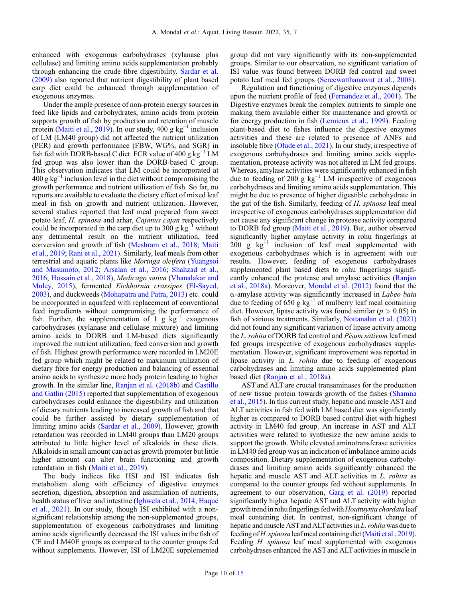enhanced with exogenous carbohydrases (xylanase plus cellulase) and limiting amino acids supplementation probably through enhancing the crude fibre digestibility. [Sardar et al.](#page-13-0) [\(2009\)](#page-13-0) also reported that nutrient digestibility of plant based carp diet could be enhanced through supplementation of exogenous enzymes.

Under the ample presence of non-protein energy sources in feed like lipids and carbohydrates, amino acids from protein supports growth of fish by production and retention of muscle protein ([Maiti et al., 2019\)](#page-12-0). In our study, 400 g  $kg^{-1}$  inclusion of LM (LM40 group) did not affected the nutrient utilization (PER) and growth performance (FBW, WG%, and SGR) in fish fed with DORB-based C diet. FCR value of 400 g  $kg^{-1}$  LM fed group was also lower than the DORB-based C group. This observation indicates that LM could be incorporated at  $400 \text{ g kg}^{-1}$  inclusion level in the diet without compromising the growth performance and nutrient utilization of fish. So far, no reports are available to evaluate the dietary effect of mixed leaf meal in fish on growth and nutrient utilization. However, several studies reported that leaf meal prepared from sweet potato leaf, H. spinosa and arhar, Cajanus cajan respectively could be incorporated in the carp diet up to 300 g  $kg^{-1}$  without any detrimental result on the nutrient utilization, feed conversion and growth of fish ([Meshram et al., 2018;](#page-13-0) [Maiti](#page-12-0) [et al., 2019](#page-12-0); [Rani et al., 2021\)](#page-13-0). Similarly, leaf meals from other terrestrial and aquatic plants like Moringa oleifera ([Yuangsoi](#page-14-0) [and Masumoto, 2012;](#page-14-0) [Arsalan et al., 2016;](#page-11-0) [Shahzad et al.,](#page-13-0) [2016](#page-13-0); [Hussain et al., 2018\)](#page-12-0), Medicago sativa [\(Vhanalakar and](#page-14-0) [Muley, 2015](#page-14-0)), fermented Eichhornia crassipes ([El-Sayed,](#page-11-0) [2003](#page-11-0)), and duckweeds ([Mohapatra and Patra, 2013](#page-13-0)) etc. could be incorporated in aquafeed with replacement of conventional feed ingredients without compromising the performance of fish. Further, the supplementation of 1 g  $kg^{-1}$  exogenous carbohydrases (xylanase and cellulase mixture) and limiting amino acids to DORB and LM-based diets significantly improved the nutrient utilization, feed conversion and growth of fish. Highest growth performance were recorded in LM20E fed group which might be related to maximum utilization of dietary fibre for energy production and balancing of essential amino acids to synthesize more body protein leading to higher growth. In the similar line, [Ranjan et al. \(2018b\)](#page-13-0) and [Castillo](#page-11-0) [and Gatlin \(2015\)](#page-11-0) reported that supplementation of exogenous carbohydrases could enhance the digestibility and utilization of dietary nutrients leading to increased growth of fish and that could be further assisted by dietary supplementation of limiting amino acids ([Sardar et al., 2009\)](#page-13-0). However, growth retardation was recorded in LM40 groups than LM20 groups attributed to little higher level of alkaloids in these diets. Alkaloids in small amount can act as growth promoter but little higher amount can alter brain functioning and growth retardation in fish [\(Maiti et al., 2019\)](#page-12-0).

The body indices like HSI and ISI indicates fish metabolism along with efficiency of digestive enzymes secretion, digestion, absorption and assimilation of nutrients, health status of liver and intestine ([Ighwela et al., 2014;](#page-12-0) [Haque](#page-12-0) [et al., 2021](#page-12-0)). In our study, though ISI exhibited with a nonsignificant relationship among the non-supplemented groups, supplementation of exogenous carbohydrases and limiting amino acids significantly decreased the ISI values in the fish of CE and LM40E groups as compared to the counter groups fed without supplements. However, ISI of LM20E supplemented

group did not vary significantly with its non-supplemented groups. Similar to our observation, no significant variation of ISI value was found between DORB fed control and sweet potato leaf meal fed groups [\(Sereewatthanawut et al., 2008\)](#page-13-0).

Regulation and functioning of digestive enzymes depends upon the nutrient profile of feed ([Fernandez et al., 2001\)](#page-11-0). The Digestive enzymes break the complex nutrients to simple one making them available either for maintenance and growth or for energy production in fish ([Lemieux et al., 1999\)](#page-12-0). Feeding plant-based diet to fishes influence the digestive enzymes activities and these are related to presence of ANFs and insoluble fibre ([Olude et al., 2021](#page-13-0)). In our study, irrespective of exogenous carbohydrases and limiting amino acids supplementation, protease activity was not altered in LM fed groups. Whereas, amylase activities were significantly enhanced in fish due to feeding of 200 g  $kg^{-1}$  LM irrespective of exogenous carbohydrases and limiting amino acids supplementation. This might be due to presence of higher digestible carbohydrate in the gut of the fish. Similarly, feeding of H. spinosa leaf meal irrespective of exogenous carbohydrases supplementation did not cause any significant change in protease activity compared to DORB fed group [\(Maiti et al., 2019](#page-12-0)). But, author observed significantly higher amylase activity in rohu fingerlings at  $200 \text{ g kg}^{-1}$  inclusion of leaf meal supplemented with exogenous carbohydrases which is in agreement with our results. However, feeding of exogenous carbohydrases supplemented plant based diets to rohu fingerlings significantly enhanced the protease and amylase activities ([Ranjan](#page-13-0) [et al., 2018a](#page-13-0)). Moreover, [Mondal et al. \(2012\)](#page-13-0) found that the  $\alpha$ -amylase activity was significantly increased in *Labeo bata* due to feeding of 650 g  $kg^{-1}$  of mulberry leaf meal containing diet. However, lipase activity was found similar ( $p > 0.05$ ) in fish of various treatments. Similarly, [Nottanalan et al. \(2021\)](#page-13-0) did not found any significant variation of lipase activity among the L. rohita of DORB fed control and Pisum sativum leaf meal fed groups irrespective of exogenous carbohydrases supplementation. However, significant improvement was reported in lipase activity in L. rohita due to feeding of exogenous carbohydrases and limiting amino acids supplemented plant based diet [\(Ranjan et al., 2018a\)](#page-13-0).

AST and ALT are crucial transaminases for the production of new tissue protein towards growth of the fishes ([Shamna](#page-13-0) [et al., 2015](#page-13-0)). In this current study, hepatic and muscle AST and ALT activities in fish fed with LM based diet was significantly higher as compared to DORB based control diet with highest activity in LM40 fed group. An increase in AST and ALT activities were related to synthesize the new amino acids to support the growth. While elevated aminotransferase activities in LM40 fed group was an indication of imbalance amino acids composition. Dietary supplementation of exogenous carbohydrases and limiting amino acids significantly enhanced the hepatic and muscle AST and ALT activities in L. rohita as compared to the counter groups fed without supplements. In agreement to our observation, [Garg et al. \(2019\)](#page-12-0) reported significantly higher hepatic AST and ALT activity with higher growth trend in rohu fingerlings fed with Houttuynia chordata leaf meal containing diet. In contrast, non-significant change of hepatic and muscle AST and ALT activities in L. rohita was due to feeding ofH. spinosa leaf meal containing diet [\(Maiti et al., 2019](#page-12-0)). Feeding H. spinosa leaf meal supplemented with exogenous carbohydrases enhanced the AST and ALT activities in muscle in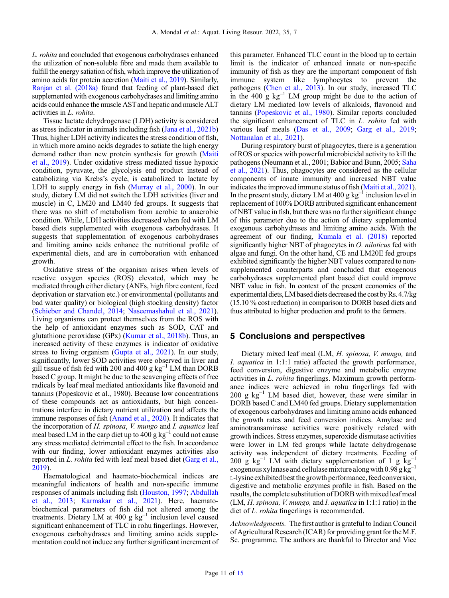L. rohita and concluded that exogenous carbohydrases enhanced the utilization of non-soluble fibre and made them available to fulfill the energy satiation of fish, which improve the utilization of amino acids for protein accretion [\(Maiti et al., 2019](#page-12-0)). Similarly, [Ranjan et al. \(2018a\)](#page-13-0) found that feeding of plant-based diet supplemented with exogenous carbohydrases and limiting amino acids could enhance the muscle ASTand hepatic and muscle ALT activities in L. rohita.

Tissue lactate dehydrogenase (LDH) activity is considered as stress indicator in animals including fish ([Jana et al., 2021b\)](#page-12-0) Thus, higher LDH activity indicates the stress condition of fish, in which more amino acids degrades to satiate the high energy demand rather than new protein synthesis for growth [\(Maiti](#page-12-0) [et al., 2019](#page-12-0)). Under oxidative stress mediated tissue hypoxic condition, pyruvate, the glycolysis end product instead of catabolizing via Krebs's cycle, is catabolized to lactate by LDH to supply energy in fish ([Murray et al., 2000\)](#page-13-0). In our study, dietary LM did not switch the LDH activities (liver and muscle) in C, LM20 and LM40 fed groups. It suggests that there was no shift of metabolism from aerobic to anaerobic condition. While, LDH activities decreased when fed with LM based diets supplemented with exogenous carbohydrases. It suggests that supplementation of exogenous carbohydrases and limiting amino acids enhance the nutritional profile of experimental diets, and are in corroboration with enhanced growth.

Oxidative stress of the organism arises when levels of reactive oxygen species (ROS) elevated, which may be mediated through either dietary (ANFs, high fibre content, feed deprivation or starvation etc.) or environmental (pollutants and bad water quality) or biological (high stocking density) factor ([Schieber and Chandel, 2014](#page-13-0); [Naseemashahul et al., 2021](#page-13-0)). Living organisms can protect themselves from the ROS with the help of antioxidant enzymes such as SOD, CAT and glutathione peroxidase (GPx) [\(Kumar et al., 2018b\)](#page-12-0). Thus, an increased activity of these enzymes is indicator of oxidative stress to living organism ([Gupta et al., 2021](#page-12-0)). In our study, significantly, lower SOD activities were observed in liver and gill tissue of fish fed with 200 and 400 g  $kg^{-1}$  LM than DORB based C group. It might be due to the scavenging effects of free radicals by leaf meal mediated antioxidants like flavonoid and tannins (Popeskovic et al., 1980). Because low concentrations of these compounds act as antioxidants, but high concentrations interfere in dietary nutrient utilization and affects the immune responses of fish ([Anand et al., 2020](#page-11-0)). It indicates that the incorporation of H. spinosa, V. mungo and I. aquatica leaf meal based LM in the carp diet up to 400 g  $kg^{-1}$  could not cause any stress mediated detrimental effect to the fish. In accordance with our finding, lower antioxidant enzymes activities also reported in L. rohita fed with leaf meal based diet ([Garg et al.,](#page-12-0) [2019](#page-12-0)).

Haematological and haemato-biochemical indices are meaningful indicators of health and non-specific immune responses of animals including fish ([Houston, 1997](#page-12-0); [Abdullah](#page-11-0) [et al., 2013](#page-11-0); [Karmakar et al., 2021\)](#page-12-0). Here, haematobiochemical parameters of fish did not altered among the treatments. Dietary LM at 400 g  $kg^{-1}$  inclusion level caused significant enhancement of TLC in rohu fingerlings. However, exogenous carbohydrases and limiting amino acids supplementation could not induce any further significant increment of this parameter. Enhanced TLC count in the blood up to certain limit is the indicator of enhanced innate or non-specific immunity of fish as they are the important component of fish immune system like lymphocytes to prevent the pathogens [\(Chen et al., 2013](#page-11-0)). In our study, increased TLC in the 400 g  $kg^{-1}$  LM group might be due to the action of dietary LM mediated low levels of alkaloids, flavonoid and tannins [\(Popeskovic et al., 1980\)](#page-13-0). Similar reports concluded the significant enhancement of TLC in L. rohita fed with various leaf meals [\(Das et al., 2009](#page-11-0); [Garg et al., 2019;](#page-12-0) [Nottanalan et al., 2021](#page-13-0)).

During respiratory burst of phagocytes, there is a generation of ROS or species with powerful microbicidal activity to kill the pathogens (Neumann et al., 2001; Babior and Bunn, 2005; [Saha](#page-12-0) [et al., 2021](#page-12-0)). Thus, phagocytes are considered as the cellular components of innate immunity and increased NBT value indicates the improved immune status of fish [\(Maiti et al., 2021](#page-12-0)). In the present study, dietary LM at  $400 \text{ g kg}^{-1}$  inclusion level in replacement of 100% DORB attributed significant enhancement of NBT value in fish, but there was no further significant change of this parameter due to the action of dietary supplemented exogenous carbohydrases and limiting amino acids. With the agreement of our finding, [Kumala et al. \(2018\)](#page-12-0) reported significantly higher NBT of phagocytes in *O. niloticus* fed with algae and fungi. On the other hand, CE and LM20E fed groups exhibited significantly the higher NBT values compared to nonsupplemented counterparts and concluded that exogenous carbohydrases supplemented plant based diet could improve NBT value in fish. In context of the present economics of the experimental diets, LM based diets decreased the cost by Rs. 4.7/kg (15.10 % cost reduction) in comparison to DORB based diets and thus attributed to higher production and profit to the farmers.

## 5 Conclusions and perspectives

Dietary mixed leaf meal (LM, H. spinosa, V. mungo, and I. aquatica in 1:1:1 ratio) affected the growth performance, feed conversion, digestive enzyme and metabolic enzyme activities in L. rohita fingerlings. Maximum growth performance indices were achieved in rohu fingerlings fed with 200 g  $kg^{-1}$  LM based diet, however, these were similar in DORB based C and LM40 fed groups. Dietary supplementation of exogenous carbohydrases and limiting amino acids enhanced the growth rates and feed conversion indices. Amylase and aminotransaminase activities were positively related with growth indices. Stress enzymes, superoxide dismutase activities were lower in LM fed groups while lactate dehydrogenase activity was independent of dietary treatments. Feeding of 200 g  $kg^{-1}$  LM with dietary supplementation of 1 g  $kg^{-1}$ exogenous xylanase and cellulase mixture along with  $0.98$  g kg<sup>-1</sup> L-lysine exhibited bestthe growth performance, feed conversion, digestive and metabolic enzymes profile in fish. Based on the results, the complete substitution of DORB with mixed leaf meal (LM, H. spinosa, V. mungo, and I. aquatica in 1:1:1 ratio) in the diet of L. rohita fingerlings is recommended.

Acknowledgments. The first author is grateful to Indian Council of Agricultural Research (ICAR) for providing grant for theM.F. Sc. programme. The authors are thankful to Director and Vice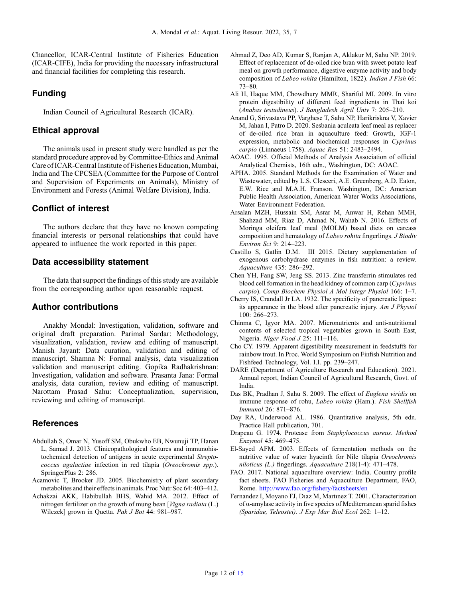<span id="page-11-0"></span>Chancellor, ICAR-Central Institute of Fisheries Education (ICAR-CIFE), India for providing the necessary infrastructural and financial facilities for completing this research.

## Funding

Indian Council of Agricultural Research (ICAR).

## Ethical approval

The animals used in present study were handled as per the standard procedure approved by Committee-Ethics and Animal Care of ICAR-Central Institute of Fisheries Education, Mumbai, India and The CPCSEA (Committee for the Purpose of Control and Supervision of Experiments on Animals), Ministry of Environment and Forests (Animal Welfare Division), India.

# Conflict of interest

The authors declare that they have no known competing financial interests or personal relationships that could have appeared to influence the work reported in this paper.

## Data accessibility statement

The data that support the findings of this study are available from the corresponding author upon reasonable request.

## Author contributions

Anakhy Mondal: Investigation, validation, software and original draft preparation. Parimal Sardar: Methodology, visualization, validation, review and editing of manuscript. Manish Jayant: Data curation, validation and editing of manuscript. Shamna N: Formal analysis, data visualization validation and manuscript editing. Gopika Radhakrishnan: Investigation, validation and software. Prasanta Jana: Formal analysis, data curation, review and editing of manuscript. Narottam Prasad Sahu: Conceptualization, supervision, reviewing and editing of manuscript.

# **References**

- Abdullah S, Omar N, Yusoff SM, Obukwho EB, Nwunuji TP, Hanan L, Samad J. 2013. Clinicopathological features and immunohistochemical detection of antigens in acute experimental Streptococcus agalactiae infection in red tilapia (Oreochromis spp.). SpringerPlus 2: 286.
- Acamovic T, Brooker JD. 2005. Biochemistry of plant secondary metabolites and their effects in animals. Proc Nutr Soc 64: 403–412.
- Achakzai AKK, Habibullah BHS, Wahid MA. 2012. Effect of nitrogen fertilizer on the growth of mung bean [Vigna radiata (L.) Wilczek] grown in Quetta. Pak J Bot 44: 981–987.
- Ahmad Z, Deo AD, Kumar S, Ranjan A, Aklakur M, Sahu NP. 2019. Effect of replacement of de-oiled rice bran with sweet potato leaf meal on growth performance, digestive enzyme activity and body composition of Labeo rohita (Hamilton, 1822). Indian J Fish 66: 73–80.
- Ali H, Haque MM, Chowdhury MMR, Shariful MI. 2009. In vitro protein digestibility of different feed ingredients in Thai koi (Anabas testudineus). J Bangladesh Agril Univ 7: 205–210.
- Anand G, Srivastava PP, Varghese T, Sahu NP, Harikriskna V, Xavier M, Jahan I, Patro D. 2020. Sesbania aculeata leaf meal as replacer of de-oiled rice bran in aquaculture feed: Growth, IGF-1 expression, metabolic and biochemical responses in Cyprinus carpio (Linnaeus 1758). Aquac Res 51: 2483–2494.
- AOAC. 1995. Official Methods of Analysis Association of official Analytical Chemists, 16th edn., Washington, DC: AOAC.
- APHA. 2005. Standard Methods for the Examination of Water and Wastewater, edited by L.S. Clesceri, A.E. Greenberg, A.D. Eaton, E.W. Rice and M.A.H. Franson. Washington, DC: American Public Health Association, American Water Works Associations, Water Environment Federation.
- Arsalan MZH, Hussain SM, Asrar M, Anwar H, Rehan MMH, Shahzad MM, Riaz D, Ahmad N, Wahab N. 2016. Effects of Moringa oleifera leaf meal (MOLM) based diets on carcass composition and hematology of Labeo rohita fingerlings. J Biodiv Environ Sci 9: 214–223.
- Castillo S, Gatlin D.M. III 2015. Dietary supplementation of exogenous carbohydrase enzymes in fish nutrition: a review. Aquaculture 435: 286–292.
- Chen YH, Fang SW, Jeng SS. 2013. Zinc transferrin stimulates red blood cell formation in the head kidney of common carp (Cyprinus carpio). Comp Biochem Physiol A Mol Integr Physiol 166: 1–7.
- Cherry IS, Crandall Jr LA. 1932. The specificity of pancreatic lipase: its appearance in the blood after pancreatic injury. Am J Physiol 100: 266–273.
- Chinma C, Igyor MA. 2007. Micronutrients and anti-nutritional contents of selected tropical vegetables grown in South East, Nigeria. Niger Food J 25: 111–116.
- Cho CY. 1979. Apparent digestibility measurement in feedstuffs for rainbow trout. In Proc. World Symposium on Finfish Nutrition and Fishfeed Technology, Vol. I.I. pp. 239–247.
- DARE (Department of Agriculture Research and Education). 2021. Annual report, Indian Council of Agricultural Research, Govt. of India.
- Das BK, Pradhan J, Sahu S. 2009. The effect of Euglena viridis on immune response of rohu, Labeo rohita (Ham.). Fish Shellfish Immunol 26: 871–876.
- Day RA, Underwood AL. 1986. Quantitative analysis, 5th edn. Practice Hall publication, 701.
- Drapeau G. 1974. Protease from Staphylococcus aureus. Method Enzymol 45: 469–475.
- El-Sayed AFM. 2003. Effects of fermentation methods on the nutritive value of water hyacinth for Nile tilapia Oreochromis niloticus (L.) fingerlings. Aquaculture 218(1-4): 471–478.
- FAO. 2017. National aquaculture overview: India. Country profile fact sheets. FAO Fisheries and Aquaculture Department, FAO, Rome. [http://www.fao.org/](http://www.fao.org/fishery/factsheets/en)fishery/factsheets/en
- Fernandez I, Moyano FJ, Dıaz M, Martınez T. 2001. Characterization of α-amylase activity in five species of Mediterranean sparid fishes (Sparidae, Teleostei). J Exp Mar Biol Ecol 262: 1–12.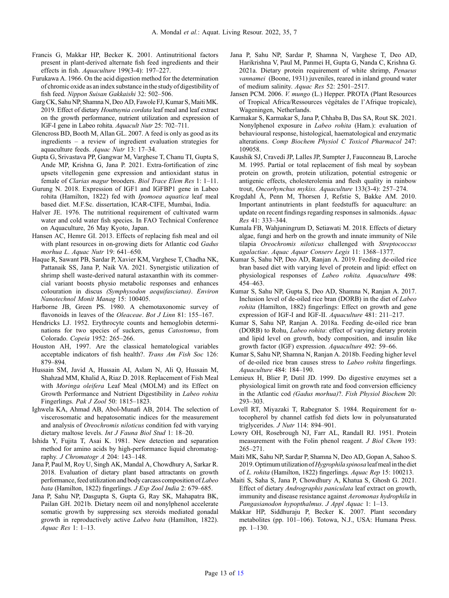- <span id="page-12-0"></span>Francis G, Makkar HP, Becker K. 2001. Antinutritional factors present in plant-derived alternate fish feed ingredients and their effects in fish. Aquaculture 199(3-4): 197–227.
- Furukawa A. 1966. On the acid digestion method for the determination of chromic oxide as anindex substance inthe study of digestibility of fish feed. Nippon Suisan Gakkaishi 32: 502–506.
- Garg CK, Sahu NP, Shamna N, Deo AD, Fawole FJ, Kumar S, Maiti MK. 2019. Effect of dietary Houttuynia cordata leaf meal and leaf extract on the growth performance, nutrient utilization and expression of IGF‐I gene in Labeo rohita. Aquacult Nutr 25: 702–711.
- Glencross BD, Booth M, Allan GL. 2007. A feed is only as good as its ingredients – a review of ingredient evaluation strategies for aquaculture feeds. Aquac Nutr 13: 17–34.
- Gupta G, Srivastava PP, Gangwar M, Varghese T, Chanu TI, Gupta S, Ande MP, Krishna G, Jana P. 2021. Extra-fortification of zinc upsets vitellogenin gene expression and antioxidant status in female of Clarias magur brooders. Biol Trace Elem Res 1: 1–11.
- Gurung N. 2018. Expression of IGF1 and IGFBP1 gene in Labeo rohita (Hamilton, 1822) fed with Ipomoea aquatica leaf meal based diet. M.F.Sc. dissertation, ICAR-CIFE, Mumbai, India.
- Halver JE. 1976. The nutritional requirement of cultivated warm water and cold water fish species. In FAO Technical Conference on Aquaculture, 26 May Kyoto, Japan.
- Hansen AC, Hemre GI. 2013. Effects of replacing fish meal and oil with plant resources in on-growing diets for Atlantic cod Gadus morhua L. Aquac Nutr 19: 641–650.
- Haque R, Sawant PB, Sardar P, Xavier KM, Varghese T, Chadha NK, Pattanaik SS, Jana P, Naik VA. 2021. Synergistic utilization of shrimp shell waste-derived natural astaxanthin with its commercial variant boosts physio metabolic responses and enhances colouration in discus (Symphysodon aequifasciatus). Environ Nanotechnol Monit Manag 15: 100405.
- Harborne JB, Green PS. 1980. A chemotaxonomic survey of flavonoids in leaves of the Oleaceae. Bot J Linn 81: 155-167.
- Hendricks LJ. 1952. Erythrocyte counts and hemoglobin determinations for two species of suckers, genus Catostomus, from Colorado. Copeia 1952: 265–266.
- Houston AH, 1997. Are the classical hematological variables acceptable indicators of fish health?. Trans Am Fish Soc 126: 879–894.
- Hussain SM, Javid A, Hussain AI, Aslam N, Ali Q, Hussain M, Shahzad MM, Khalid A, Riaz D. 2018. Replacement of Fish Meal with Moringa oleifera Leaf Meal (MOLM) and its Effect on Growth Performance and Nutrient Digestibility in Labeo rohita Fingerlings. Pak J Zool 50: 1815–1823.
- Ighwela KA, Ahmad AB, Abol-Munafi AB, 2014. The selection of viscerosomatic and hepatosomatic indices for the measurement and analysis of Oreochromis niloticus condition fed with varying dietary maltose levels. Int J Fauna Biol Stud 1: 18–20.
- Ishida Y, Fujita T, Asai K. 1981. New detection and separation method for amino acids by high-performance liquid chromatography. J Chromatogr A 204: 143–148.
- Jana P, Paul M, Roy U, Singh AK, Mandal A, Chowdhury A, Sarkar R. 2018. Evaluation of dietary plant based attractants on growth performance, feed utilization and body carcass composition of Labeo bata (Hamilton, 1822) fingerlings. J Exp Zool India 2: 679–685.
- Jana P, Sahu NP, Dasgupta S, Gupta G, Ray SK, Mahapatra BK, Pailan GH. 2021b. Dietary neem oil and nonylphenol accelerate somatic growth by suppressing sex steroids mediated gonadal growth in reproductively active Labeo bata (Hamilton, 1822). Aquac Res 1: 1–13.
- Jana P, Sahu NP, Sardar P, Shamna N, Varghese T, Deo AD, Harikrishna V, Paul M, Panmei H, Gupta G, Nanda C, Krishna G. 2021a. Dietary protein requirement of white shrimp, Penaeus vannamei (Boone, 1931) juveniles, reared in inland ground water of medium salinity. Aquac Res 52: 2501–2517.
- Jansen PCM. 2006. V. mungo (L.) Hepper. PROTA (Plant Resources of Tropical Africa/Ressources végétales de l'Afrique tropicale), Wageningen, Netherlands.
- Karmakar S, Karmakar S, Jana P, Chhaba B, Das SA, Rout SK. 2021. Nonylphenol exposure in Labeo rohita (Ham.): evaluation of behavioural response, histological, haematological and enzymatic alterations. Comp Biochem Physiol C Toxicol Pharmacol 247: 109058.
- Kaushik SJ, Cravedi JP, Lalles JP, Sumpter J, Fauconneau B, Laroche M. 1995. Partial or total replacement of fish meal by soybean protein on growth, protein utilization, potential estrogenic or antigenic effects, cholesterolemia and flesh quality in rainbow trout, Oncorhynchus mykiss. Aquaculture 133(3-4): 257–274.
- Krogdahl Å, Penn M, Thorsen J, Refstie S, Bakke AM. 2010. Important antinutrients in plant feedstuffs for aquaculture: an update on recent findings regarding responses in salmonids. Aquac Res 41: 333–344.
- Kumala FB, Wahjuningrum D, Setiawati M. 2018. Effects of dietary algae, fungi and herb on the growth and innate immunity of Nile tilapia Oreochromis niloticus challenged with Streptococcus agalactiae. Aquac Aquar Conserv Legis 11: 1368–1377.
- Kumar S, Sahu NP, Deo AD, Ranjan A. 2019. Feeding de-oiled rice bran based diet with varying level of protein and lipid: effect on physiological responses of Labeo rohita. Aquaculture 498: 454–463.
- Kumar S, Sahu NP, Gupta S, Deo AD, Shamna N, Ranjan A. 2017. Inclusion level of de-oiled rice bran (DORB) in the diet of Labeo rohita (Hamilton, 1882) fingerlings: Effect on growth and gene expression of IGF-I and IGF-II. Aquaculture 481: 211–217.
- Kumar S, Sahu NP, Ranjan A. 2018a. Feeding de-oiled rice bran (DORB) to Rohu, Labeo rohita: effect of varying dietary protein and lipid level on growth, body composition, and insulin like growth factor (IGF) expression. Aquaculture 492: 59–66.
- Kumar S, Sahu NP, Shamna N, Ranjan A. 2018b. Feeding higher level of de-oiled rice bran causes stress to Labeo rohita fingerlings. Aquaculture 484: 184–190.
- Lemieux H, Blier P, Dutil JD. 1999. Do digestive enzymes set a physiological limit on growth rate and food conversion efficiency in the Atlantic cod (Gadus morhua)?. Fish Physiol Biochem 20: 293–303.
- Lovell RT, Miyazaki T, Rabegnator S. 1984. Requirement for αtocopherol by channel catfish fed diets low in polyunsaturated triglycerides. J Nutr 114: 894-901.
- Lowry OH, Rosebrough NJ, Farr AL, Randall RJ. 1951. Protein measurement with the Folin phenol reagent. J Biol Chem 193: 265–271.
- Maiti MK, Sahu NP, Sardar P, Shamna N, Deo AD, Gopan A, Sahoo S. 2019. Optimum utilization of Hygrophila spinosa leaf meal in the diet of L. rohita (Hamilton, 1822) fingerlings. Aquac Rep 15: 100213.
- Maiti S, Saha S, Jana P, Chowdhury A, Khatua S, Ghosh G. 2021. Effect of dietary Andrographis paniculata leaf extract on growth, immunity and disease resistance against Aeromonas hydrophila in Pangasianodon hypopthalmus. J Appl Aquac 1: 1–13.
- Makkar HP, Siddhuraju P, Becker K. 2007. Plant secondary metabolites (pp. 101–106). Totowa, N.J., USA: Humana Press. pp. 1–130.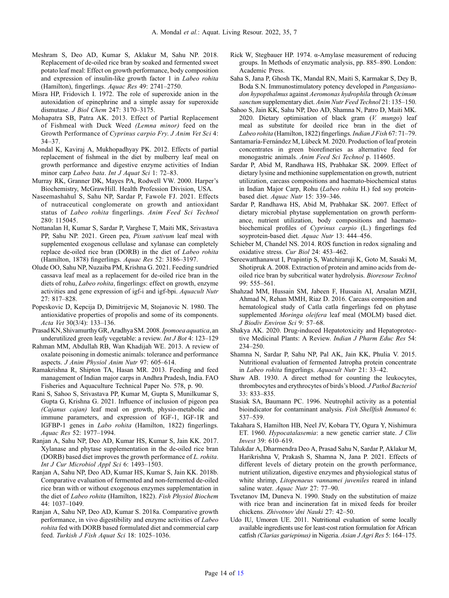- <span id="page-13-0"></span>Meshram S, Deo AD, Kumar S, Aklakur M, Sahu NP. 2018. Replacement of de‐oiled rice bran by soaked and fermented sweet potato leaf meal: Effect on growth performance, body composition and expression of insulin-like growth factor 1 in *Labeo rohita* (Hamilton), fingerlings. Aquac Res 49: 2741–2750.
- Misra HP, Fridovich I. 1972. The role of superoxide anion in the autoxidation of epinephrine and a simple assay for superoxide dismutase. J Biol Chem 247: 3170–3175.
- Mohapatra SB, Patra AK. 2013. Effect of Partial Replacement of Fishmeal with Duck Weed (Lemna minor) feed on the Growth Performance of Cyprinus carpio Fry. J Anim Vet Sci 4: 34–37.
- Mondal K, Kaviraj A, Mukhopadhyay PK. 2012. Effects of partial replacement of fishmeal in the diet by mulberry leaf meal on growth performance and digestive enzyme activities of Indian minor carp Labeo bata. Int J Aquat Sci 1: 72–83.
- Murray RK, Granner DK, Mayes PA, Rodwell VW. 2000. Harper's Biochemistry, McGrawHill. Health Profession Division, USA.
- Naseemashahul S, Sahu NP, Sardar P, Fawole FJ. 2021. Effects of nutraceutical conglomerate on growth and antioxidant status of Labeo rohita fingerlings. Anim Feed Sci Technol 280: 115045.
- Nottanalan H, Kumar S, Sardar P, Varghese T, Maiti MK, Srivastava PP, Sahu NP. 2021. Green pea, Pisum sativum leaf meal with supplemented exogenous cellulase and xylanase can completely replace de-oiled rice bran (DORB) in the diet of Labeo rohita (Hamilton, 1878) fingerlings. Aquac Res 52: 3186–3197.
- Olude OO, Sahu NP, Nuzaiba PM, Krishna G. 2021. Feeding sundried cassava leaf meal as a replacement for de‐oiled rice bran in the diets of rohu, Labeo rohita, fingerlings: effect on growth, enzyme activities and gene expression of igf-i and igf-bpi. Aquacult Nutr 27: 817–828.
- Popeskovic D, Kepcija D, Dimitrijevic M, Stojanovic N. 1980. The antioxidative properties of propolis and some of its components. Acta Vet 30(3/4): 133–136.
- Prasad KN, Shivamurthy GR, Aradhya SM. 2008. Ipomoea aquatica, an underutilized green leafy vegetable: a review. Int J Bot 4: 123–129
- Rahman MM, Abdullah RB, Wan Khadijah WE. 2013. A review of oxalate poisoning in domestic animals: tolerance and performance aspects. J Anim Physiol Anim Nutr 97: 605–614.
- Ramakrishna R, Shipton TA, Hasan MR. 2013. Feeding and feed management of Indian major carps in Andhra Pradesh, India. FAO Fisheries and Aquaculture Technical Paper No. 578, p. 90.
- Rani S, Sahoo S, Srivastava PP, Kumar M, Gupta S, Munilkumar S, Gupta G, Krishna G. 2021. Influence of inclusion of pigeon pea (Cajanus cajan) leaf meal on growth, physio-metabolic and immune parameters, and expression of IGF-1, IGF-1R and IGFBP-1 genes in Labo rohita (Hamilton, 1822) fingerlings. Aquac Res 52: 1977–1994.
- Ranjan A, Sahu NP, Deo AD, Kumar HS, Kumar S, Jain KK. 2017. Xylanase and phytase supplementation in the de-oiled rice bran (DORB) based diet improves the growth performance of L. rohita. Int J Cur Microbiol Appl Sci 6: 1493–1503.
- Ranjan A, Sahu NP, Deo AD, Kumar HS, Kumar S, Jain KK. 2018b. Comparative evaluation of fermented and non-fermented de-oiled rice bran with or without exogenous enzymes supplementation in the diet of Labeo rohita (Hamilton, 1822). Fish Physiol Biochem 44: 1037–1049.
- Ranjan A, Sahu NP, Deo AD, Kumar S. 2018a. Comparative growth performance, in vivo digestibility and enzyme activities of Labeo rohita fed with DORB based formulated diet and commercial carp feed. Turkish J Fish Aquat Sci 18: 1025–1036.
- Rick W, Stegbauer HP. 1974. α-Amylase measurement of reducing groups. In Methods of enzymatic analysis, pp. 885–890. London: Academic Press.
- Saha S, Jana P, Ghosh TK, Mandal RN, Maiti S, Karmakar S, Dey B, Boda S.N. Immunostimulatory potency developed in Pangasianodon hypopthalmus against Aeromonas hydrophila through Ocimum sanctum supplementary diet. Anim Nutr Feed Technol 21: 135–150.
- Sahoo S, Jain KK, Sahu NP, Deo AD, Shamna N, Patro D, Maiti MK. 2020. Dietary optimisation of black gram (V. mungo) leaf meal as substitute for deoiled rice bran in the diet of Labeo rohita (Hamilton, 1822) fingerlings. Indian J Fish 67: 71–79.
- Santamaría-Fernández M, Lübeck M. 2020. Production of leaf protein concentrates in green biorefineries as alternative feed for monogastric animals. Anim Feed Sci Technol p. 114605.
- Sardar P, Abid M, Randhawa HS, Prabhakar SK. 2009. Effect of dietary lysine and methionine supplementation on growth, nutrient utilization, carcass compositions and haemato‐biochemical status in Indian Major Carp, Rohu (Labeo rohita H.) fed soy protein‐ based diet. Aquac Nutr 15: 339–346.
- Sardar P, Randhawa HS, Abid M, Prabhakar SK. 2007. Effect of dietary microbial phytase supplementation on growth performance, nutrient utilization, body compositions and haematobiochemical profiles of Cyprinus carpio (L.) fingerlings fed soyprotein-based diet. Aquac Nutr 13: 444-456.
- Schieber M, Chandel NS. 2014. ROS function in redox signaling and oxidative stress. Cur Biol 24: 453–462.
- Sereewatthanawut I, Prapintip S, Watchiraruji K, Goto M, Sasaki M, Shotipruk A. 2008. Extraction of protein and amino acids from deoiled rice bran by subcritical water hydrolysis. Bioresour Technol 99: 555–561.
- Shahzad MM, Hussain SM, Jabeen F, Hussain AI, Arsalan MZH, Ahmad N, Rehan MMH, Riaz D. 2016. Carcass composition and hematological study of Catla catla fingerlings fed on phytase supplemented Moringa oleifera leaf meal (MOLM) based diet. J Biodiv Environ Sci 9: 57–68.
- Shakya AK. 2020. Drug-induced Hepatotoxicity and Hepatoprotective Medicinal Plants: A Review. Indian J Pharm Educ Res 54: 234–250.
- Shamna N, Sardar P, Sahu NP, Pal AK, Jain KK, Phulia V. 2015. Nutritional evaluation of fermented Jatropha protein concentrate in Labeo rohita fingerlings. Aquacult Nutr 21: 33–42.
- Shaw AB. 1930. A direct method for counting the leukocytes, thrombocytes and erythrocytes of birds's blood. J Pathol Bacteriol 33: 833–835.
- Stasiak SA, Baumann PC. 1996. Neutrophil activity as a potential bioindicator for contaminant analysis. Fish Shellfish Immunol 6: 537–539.
- Takahara S, Hamilton HB, Neel JV, Kobara TY, Ogura Y, Nishimura ET. 1960. Hypocatalasemia: a new genetic carrier state. J Clin Invest 39: 610–619.
- Talukdar A, Dharmendra Deo A, Prasad Sahu N, Sardar P, Aklakur M, Harikrishna V, Prakash S, Shamna N, Jana P. 2021. Effects of different levels of dietary protein on the growth performance, nutrient utilization, digestive enzymes and physiological status of white shrimp, Litopenaeus vannamei juveniles reared in inland saline water. Aquac Nutr 27: 77-90.
- Tsvetanov IM, Duneva N. 1990. Study on the substitution of maize with rice bran and incineration fat in mixed feeds for broiler chickens. Zhivotnov'dni Nauki 27: 42–50.
- Udo IU, Umoren UE. 2011. Nutritional evaluation of some locally available ingredients use for least-cost ration formulation for African catfish (Clarias gariepinus) in Nigeria. Asian J Agri Res 5: 164–175.